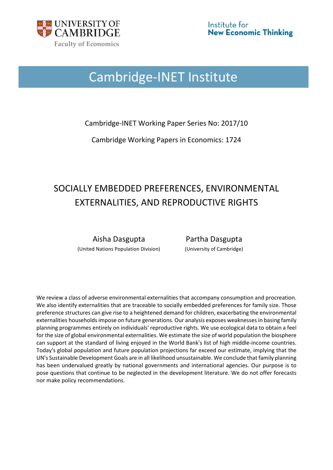

# Cambridge-INET Institute

Cambridge-INET Working Paper Series No: 2017/10

Cambridge Working Papers in Economics: 1724

# SOCIALLY EMBEDDED PREFERENCES, ENVIRONMENTAL EXTERNALITIES, AND REPRODUCTIVE RIGHTS

Aisha Dasgupta Partha Dasgupta (United Nations Population Division) (University of Cambridge)

We review a class of adverse environmental externalities that accompany consumption and procreation. We also identify externalities that are traceable to socially embedded preferences for family size. Those preference structures can give rise to a heightened demand for children, exacerbating the environmental externalities households impose on future generations. Our analysis exposes weaknesses in basing family planning programmes entirely on individuals' reproductive rights. We use ecological data to obtain a feel for the size of global environmental externalities. We estimate the size of world population the biosphere can support at the standard of living enjoyed in the World Bank's list of high middle-income countries. Today's global population and future population projections far exceed our estimate, implying that the UN's Sustainable Development Goals are in all likelihood unsustainable. We conclude that family planning has been undervalued greatly by national governments and international agencies. Our purpose is to pose questions that continue to be neglected in the development literature. We do not offer forecasts nor make policy recommendations.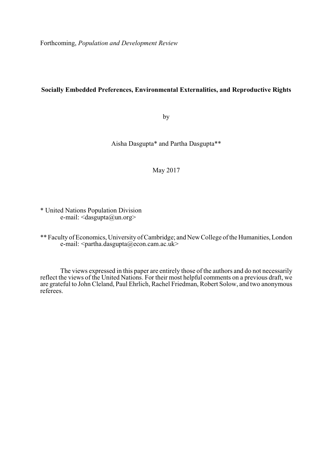Forthcoming, *Population and Development Review*

# **Socially Embedded Preferences, Environmental Externalities, and Reproductive Rights**

by

Aisha Dasgupta\* and Partha Dasgupta\*\*

May 2017

\* United Nations Population Division e-mail: <dasgupta@un.org>

\*\* Faculty of Economics, University of Cambridge; and New College of the Humanities, London  $e$ -mail:  $\epsilon$ partha.dasgupta@econ.cam.ac.uk>

The views expressed in this paper are entirely those of the authors and do not necessarily reflect the views of the United Nations. For their most helpful comments on a previous draft, we are grateful to John Cleland, Paul Ehrlich, Rachel Friedman, Robert Solow, and two anonymous referees.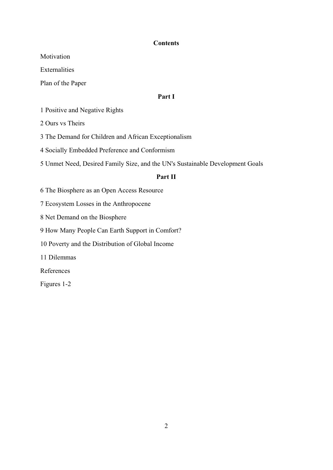# **Contents**

Motivation

Externalities

Plan of the Paper

# **Part I**

1 Positive and Negative Rights

2 Ours vs Theirs

3 The Demand for Children and African Exceptionalism

4 Socially Embedded Preference and Conformism

5 Unmet Need, Desired Family Size, and the UN's Sustainable Development Goals

# **Part II**

6 The Biosphere as an Open Access Resource

7 Ecosystem Losses in the Anthropocene

8 Net Demand on the Biosphere

9 How Many People Can Earth Support in Comfort?

10 Poverty and the Distribution of Global Income

11 Dilemmas

References

Figures 1-2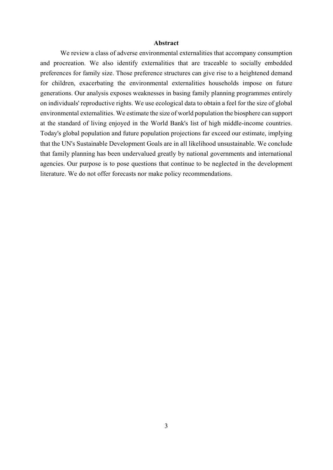#### **Abstract**

We review a class of adverse environmental externalities that accompany consumption and procreation. We also identify externalities that are traceable to socially embedded preferences for family size. Those preference structures can give rise to a heightened demand for children, exacerbating the environmental externalities households impose on future generations. Our analysis exposes weaknesses in basing family planning programmes entirely on individuals' reproductive rights. We use ecological data to obtain a feel for the size of global environmental externalities. We estimate the size of world population the biosphere can support at the standard of living enjoyed in the World Bank's list of high middle-income countries. Today's global population and future population projections far exceed our estimate, implying that the UN's Sustainable Development Goals are in all likelihood unsustainable. We conclude that family planning has been undervalued greatly by national governments and international agencies. Our purpose is to pose questions that continue to be neglected in the development literature. We do not offer forecasts nor make policy recommendations.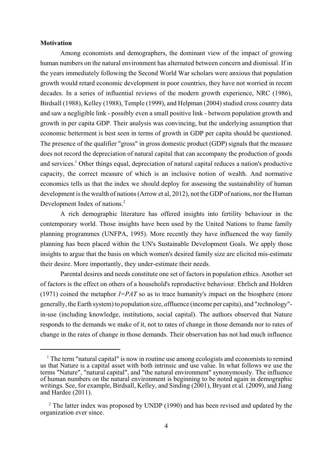## **Motivation**

Among economists and demographers, the dominant view of the impact of growing human numbers on the natural environment has alternated between concern and dismissal. If in the years immediately following the Second World War scholars were anxious that population growth would retard economic development in poor countries, they have not worried in recent decades. In a series of influential reviews of the modern growth experience, NRC (1986), Birdsall (1988), Kelley (1988), Temple (1999), and Helpman (2004) studied cross country data and saw a negligible link - possibly even a small positive link - between population growth and growth in per capita GDP. Their analysis was convincing, but the underlying assumption that economic betterment is best seen in terms of growth in GDP per capita should be questioned. The presence of the qualifier "gross" in gross domestic product (GDP) signals that the measure does not record the depreciation of natural capital that can accompany the production of goods and services.<sup>1</sup> Other things equal, depreciation of natural capital reduces a nation's productive capacity, the correct measure of which is an inclusive notion of wealth. And normative economics tells us that the index we should deploy for assessing the sustainability of human development is the wealth of nations (Arrow et al, 2012), not the GDP of nations, nor the Human Development Index of nations.<sup>2</sup>

A rich demographic literature has offered insights into fertility behaviour in the contemporary world. Those insights have been used by the United Nations to frame family planning programmes (UNFPA, 1995). More recently they have influenced the way family planning has been placed within the UN's Sustainable Development Goals. We apply those insights to argue that the basis on which women's desired family size are elicited mis-estimate their desire. More importantly, they under-estimate their needs.

Parental desires and needs constitute one set of factors in population ethics. Another set of factors is the effect on others of a household's reproductive behaviour. Ehrlich and Holdren (1971) coined the metaphor *I=PAT* so as to trace humanity's *i*mpact on the biosphere (more generally, the Earth system) to *p*opulation size, *a*ffluence (income per capita), and "*t*echnology" in-use (including knowledge, institutions, social capital). The authors observed that Nature responds to the demands we make of it, not to rates of change in those demands nor to rates of change in the rates of change in those demands. Their observation has not had much influence

 $<sup>1</sup>$  The term "natural capital" is now in routine use among ecologists and economists to remind</sup> us that Nature is a capital asset with both intrinsic and use value. In what follows we use the terms "Nature", "natural capital", and "the natural environment" synonymously. The influence of human numbers on the natural environment is beginning to be noted again in demographic writings. See, for example, Birdsall, Kelley, and Sinding (2001), Bryant et al. (2009), and Jiang and Hardee (2011).

 $2$  The latter index was proposed by UNDP (1990) and has been revised and updated by the organization ever since.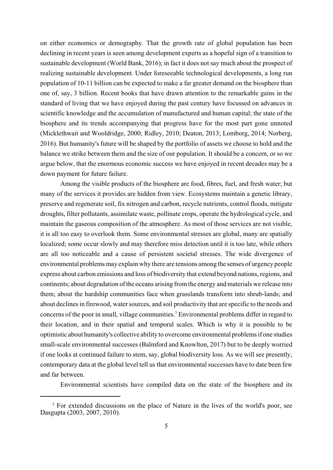on either economics or demography. That the growth rate of global population has been declining in recent years is seen among development experts as a hopeful sign of a transition to sustainable development (World Bank, 2016); in fact it does not say much about the prospect of realizing sustainable development. Under foreseeable technological developments, a long run population of 10-11 billion can be expected to make a far greater demand on the biosphere than one of, say, 3 billion. Recent books that have drawn attention to the remarkable gains in the standard of living that we have enjoyed during the past century have focussed on advances in scientific knowledge and the accumulation of manufactured and human capital; the state of the biosphere and its trends accompanying that progress have for the most part gone unnoted (Micklethwait and Wooldridge, 2000; Ridley, 2010; Deaton, 2013; Lomborg, 2014; Norberg, 2016). But humanity's future will be shaped by the portfolio of assets we choose to hold and the balance we strike between them and the size of our population. It should be a concern, or so we argue below, that the enormous economic success we have enjoyed in recent decades may be a down payment for future failure.

Among the visible products of the biosphere are food, fibres, fuel, and fresh water; but many of the services it provides are hidden from view. Ecosystems maintain a genetic library, preserve and regenerate soil, fix nitrogen and carbon, recycle nutrients, control floods, mitigate droughts, filter pollutants, assimilate waste, pollinate crops, operate the hydrological cycle, and maintain the gaseous composition of the atmosphere. As most of those services are not visible, it is all too easy to overlook them. Some environmental stresses are global, many are spatially localized; some occur slowly and may therefore miss detection until it is too late, while others are all too noticeable and a cause of persistent societal stresses. The wide divergence of environmental problems may explain why there are tensions among the senses of urgency people express about carbon emissions and loss of biodiversity that extend beyond nations, regions, and continents; about degradation of the oceans arising from the energy and materials we release into them; about the hardship communities face when grasslands transform into shrub-lands; and about declines in firewood, water sources, and soil productivity that are specific to the needs and concerns of the poor in small, village communities.<sup>3</sup> Environmental problems differ in regard to their location, and in their spatial and temporal scales. Which is why it is possible to be optimistic about humanity's collective ability to overcome environmental problems if one studies small-scale environmental successes (Balmford and Knowlton, 2017) but to be deeply worried if one looks at continued failure to stem, say, global biodiversity loss. As we will see presently, contemporary data at the global level tell us that environmental successes have to date been few and far between.

Environmental scientists have compiled data on the state of the biosphere and its

<sup>&</sup>lt;sup>3</sup> For extended discussions on the place of Nature in the lives of the world's poor, see Dasgupta (2003, 2007, 2010).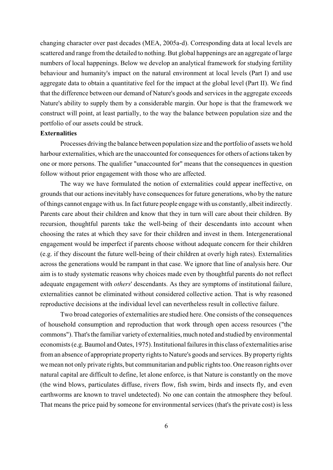changing character over past decades (MEA, 2005a-d). Corresponding data at local levels are scattered and range from the detailed to nothing. But global happenings are an aggregate of large numbers of local happenings. Below we develop an analytical framework for studying fertility behaviour and humanity's impact on the natural environment at local levels (Part I) and use aggregate data to obtain a quantitative feel for the impact at the global level (Part II). We find that the difference between our demand of Nature's goods and services in the aggregate exceeds Nature's ability to supply them by a considerable margin. Our hope is that the framework we construct will point, at least partially, to the way the balance between population size and the portfolio of our assets could be struck.

# **Externalities**

Processes driving the balance between population size and the portfolio of assets we hold harbour externalities, which are the unaccounted for consequences for others of actions taken by one or more persons. The qualifier "unaccounted for" means that the consequences in question follow without prior engagement with those who are affected.

The way we have formulated the notion of externalities could appear ineffective, on grounds that our actions inevitably have consequences for future generations, who by the nature of things cannot engage with us. In fact future people engage with us constantly, albeit indirectly. Parents care about their children and know that they in turn will care about their children. By recursion, thoughtful parents take the well-being of their descendants into account when choosing the rates at which they save for their children and invest in them. Intergenerational engagement would be imperfect if parents choose without adequate concern for their children (e.g. if they discount the future well-being of their children at overly high rates). Externalities across the generations would be rampant in that case. We ignore that line of analysis here. Our aim is to study systematic reasons why choices made even by thoughtful parents do not reflect adequate engagement with *others*' descendants. As they are symptoms of institutional failure, externalities cannot be eliminated without considered collective action. That is why reasoned reproductive decisions at the individual level can nevertheless result in collective failure.

Two broad categories of externalities are studied here. One consists of the consequences of household consumption and reproduction that work through open access resources ("the commons"). That's the familiar variety of externalities, much noted and studied by environmental economists (e.g. Baumol and Oates, 1975). Institutional failures in this class of externalities arise from an absence of appropriate property rights to Nature's goods and services. By property rights we mean not only private rights, but communitarian and public rights too. One reason rights over natural capital are difficult to define, let alone enforce, is that Nature is constantly on the move (the wind blows, particulates diffuse, rivers flow, fish swim, birds and insects fly, and even earthworms are known to travel undetected). No one can contain the atmosphere they befoul. That means the price paid by someone for environmental services (that's the private cost) is less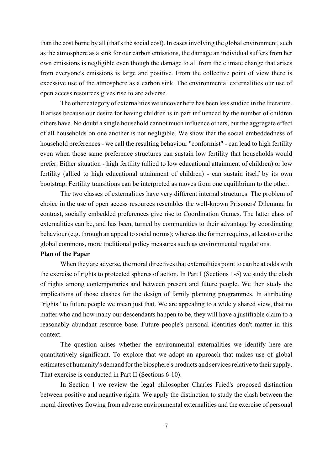than the cost borne by all (that's the social cost). In cases involving the global environment, such as the atmosphere as a sink for our carbon emissions, the damage an individual suffers from her own emissions is negligible even though the damage to all from the climate change that arises from everyone's emissions is large and positive. From the collective point of view there is excessive use of the atmosphere as a carbon sink. The environmental externalities our use of open access resources gives rise to are adverse.

The other category of externalities we uncover here has been less studied in the literature. It arises because our desire for having children is in part influenced by the number of children others have. No doubt a single household cannot much influence others, but the aggregate effect of all households on one another is not negligible. We show that the social embeddedness of household preferences - we call the resulting behaviour "conformist" - can lead to high fertility even when those same preference structures can sustain low fertility that households would prefer. Either situation - high fertility (allied to low educational attainment of children) or low fertility (allied to high educational attainment of children) - can sustain itself by its own bootstrap. Fertility transitions can be interpreted as moves from one equilibrium to the other.

The two classes of externalities have very different internal structures. The problem of choice in the use of open access resources resembles the well-known Prisoners' Dilemma. In contrast, socially embedded preferences give rise to Coordination Games. The latter class of externalities can be, and has been, turned by communities to their advantage by coordinating behaviour (e.g. through an appeal to social norms); whereas the former requires, at least over the global commons, more traditional policy measures such as environmental regulations.

#### **Plan of the Paper**

When they are adverse, the moral directives that externalities point to can be at odds with the exercise of rights to protected spheres of action. In Part I (Sections 1-5) we study the clash of rights among contemporaries and between present and future people. We then study the implications of those clashes for the design of family planning programmes. In attributing "rights" to future people we mean just that. We are appealing to a widely shared view, that no matter who and how many our descendants happen to be, they will have a justifiable claim to a reasonably abundant resource base. Future people's personal identities don't matter in this context.

The question arises whether the environmental externalities we identify here are quantitatively significant. To explore that we adopt an approach that makes use of global estimates of humanity's demand for the biosphere's products and services relative to their supply. That exercise is conducted in Part II (Sections 6-10).

In Section 1 we review the legal philosopher Charles Fried's proposed distinction between positive and negative rights. We apply the distinction to study the clash between the moral directives flowing from adverse environmental externalities and the exercise of personal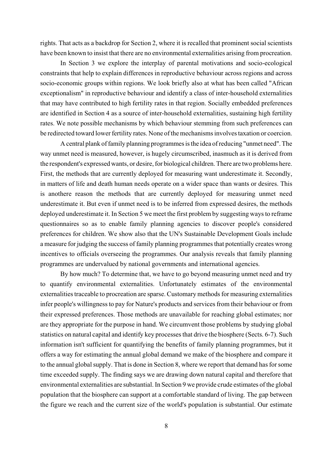rights. That acts as a backdrop for Section 2, where it is recalled that prominent social scientists have been known to insist that there are no environmental externalities arising from procreation.

In Section 3 we explore the interplay of parental motivations and socio-ecological constraints that help to explain differences in reproductive behaviour across regions and across socio-economic groups within regions. We look briefly also at what has been called "African exceptionalism" in reproductive behaviour and identify a class of inter-household externalities that may have contributed to high fertility rates in that region. Socially embedded preferences are identified in Section 4 as a source of inter-household externalities, sustaining high fertility rates. We note possible mechanisms by which behaviour stemming from such preferences can be redirected toward lower fertility rates. None of the mechanisms involves taxation or coercion.

A central plank of family planning programmes is the idea of reducing "unmet need". The way unmet need is measured, however, is hugely circumscribed, inasmuch as it is derived from the respondent's expressed wants, or desire, for biological children. There are two problems here. First, the methods that are currently deployed for measuring want underestimate it. Secondly, in matters of life and death human needs operate on a wider space than wants or desires. This is anothere reason the methods that are currently deployed for measuring unmet need underestimate it. But even if unmet need is to be inferred from expressed desires, the methods deployed underestimate it. In Section 5 we meet the first problem by suggesting ways to reframe questionnaires so as to enable family planning agencies to discover people's considered preferences for children. We show also that the UN's Sustainable Development Goals include a measure for judging the success of family planning programmes that potentially creates wrong incentives to officials overseeing the programmes. Our analysis reveals that family planning programmes are undervalued by national governments and international agencies.

By how much? To determine that, we have to go beyond measuring unmet need and try to quantify environmental externalities. Unfortunately estimates of the environmental externalities traceable to procreation are sparse. Customary methods for measuring externalities infer people's willingness to pay for Nature's products and services from their behaviour or from their expressed preferences. Those methods are unavailable for reaching global estimates; nor are they appropriate for the purpose in hand. We circumvent those problems by studying global statistics on natural capital and identify key processes that drive the biosphere (Sects. 6-7). Such information isn't sufficient for quantifying the benefits of family planning programmes, but it offers a way for estimating the annual global demand we make of the biosphere and compare it to the annual global supply. That is done in Section 8, where we report that demand has for some time exceeded supply. The finding says we are drawing down natural capital and therefore that environmental externalities are substantial. In Section 9 we provide crude estimates of the global population that the biosphere can support at a comfortable standard of living. The gap between the figure we reach and the current size of the world's population is substantial. Our estimate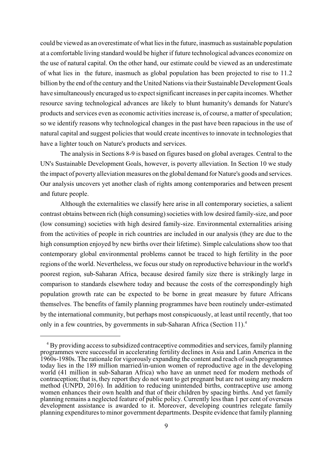could be viewed as an overestimate of what lies in the future, inasmuch as sustainable population at a comfortable living standard would be higher if future technological advances economize on the use of natural capital. On the other hand, our estimate could be viewed as an underestimate of what lies in the future, inasmuch as global population has been projected to rise to 11.2 billion by the end of the century and the United Nations via their Sustainable Development Goals have simultaneously encuraged us to expect significant increases in per capita incomes. Whether resource saving technological advances are likely to blunt humanity's demands for Nature's products and services even as economic activities increase is, of course, a matter of speculation; so we identify reasons why technological changes in the past have been rapacious in the use of natural capital and suggest policies that would create incentives to innovate in technologies that have a lighter touch on Nature's products and services.

The analysis in Sections 8-9 is based on figures based on global averages. Central to the UN's Sustainable Development Goals, however, is poverty alleviation. In Section 10 we study the impact of poverty alleviation measures on the global demand for Nature's goods and services. Our analysis uncovers yet another clash of rights among contemporaries and between present and future people.

Although the externalities we classify here arise in all contemporary societies, a salient contrast obtains between rich (high consuming) societies with low desired family-size, and poor (low consuming) societies with high desired family-size. Environmental externalities arising from the activities of people in rich countries are included in our analysis (they are due to the high consumption enjoyed by new births over their lifetime). Simple calculations show too that contemporary global environmental problems cannot be traced to high fertility in the poor regions of the world. Nevertheless, we focus our study on reproductive behaviour in the world's poorest region, sub-Saharan Africa, because desired family size there is strikingly large in comparison to standards elsewhere today and because the costs of the correspondingly high population growth rate can be expected to be borne in great measure by future Africans themselves. The benefits of family planning programmes have been routinely under-estimated by the international community, but perhaps most conspicuously, at least until recently, that too only in a few countries, by governments in sub-Saharan Africa (Section 11).4

<sup>&</sup>lt;sup>4</sup> By providing access to subsidized contraceptive commodities and services, family planning programmes were successful in accelerating fertility declines in Asia and Latin America in the 1960s-1980s. The rationale for vigorously expanding the content and reach of such programmes today lies in the 189 million married/in-union women of reproductive age in the developing world (41 million in sub-Saharan Africa) who have an unmet need for modern methods of contraception; that is, they report they do not want to get pregnant but are not using any modern method (UNPD, 2016). In addition to reducing unintended births, contraceptive use among women enhances their own health and that of their children by spacing births. And yet family planning remains a neglected feature of public policy. Currently less than 1 per cent of overseas development assistance is awarded to it. Moreover, developing countries relegate family planning expenditures to minor government departments. Despite evidence that family planning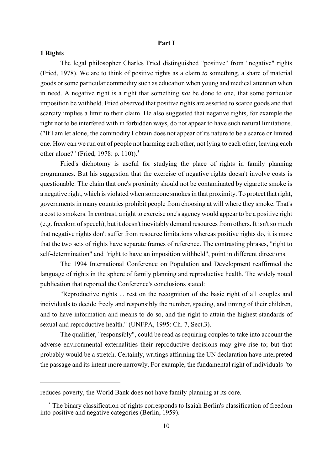### **Part I**

# **1 Rights**

The legal philosopher Charles Fried distinguished "positive" from "negative" rights (Fried, 1978). We are to think of positive rights as a claim *to* something, a share of material goods or some particular commodity such as education when young and medical attention when in need. A negative right is a right that something *not* be done to one, that some particular imposition be withheld. Fried observed that positive rights are asserted to scarce goods and that scarcity implies a limit to their claim. He also suggested that negative rights, for example the right not to be interfered with in forbidden ways, do not appear to have such natural limitations. ("If I am let alone, the commodity I obtain does not appear of its nature to be a scarce or limited one. How can we run out of people not harming each other, not lying to each other, leaving each other alone?" (Fried, 1978: p. 110)).<sup>5</sup>

Fried's dichotomy is useful for studying the place of rights in family planning programmes. But his suggestion that the exercise of negative rights doesn't involve costs is questionable. The claim that one's proximity should not be contaminated by cigarette smoke is a negative right, which is violated when someone smokes in that proximity. To protect that right, governments in many countries prohibit people from choosing at will where they smoke. That's a cost to smokers. In contrast, a right to exercise one's agency would appear to be a positive right (e.g. freedom of speech), but it doesn't inevitably demand resources from others. It isn't so much that negative rights don't suffer from resource limitations whereas positive rights do, it is more that the two sets of rights have separate frames of reference. The contrasting phrases, "right to self-determination" and "right to have an imposition withheld", point in different directions.

The 1994 International Conference on Population and Development reaffirmed the language of rights in the sphere of family planning and reproductive health. The widely noted publication that reported the Conference's conclusions stated:

"Reproductive rights ... rest on the recognition of the basic right of all couples and individuals to decide freely and responsibly the number, spacing, and timing of their children, and to have information and means to do so, and the right to attain the highest standards of sexual and reproductive health." (UNFPA, 1995: Ch. 7, Sect.3).

The qualifier, "responsibly", could be read as requiring couples to take into account the adverse environmental externalities their reproductive decisions may give rise to; but that probably would be a stretch. Certainly, writings affirming the UN declaration have interpreted the passage and its intent more narrowly. For example, the fundamental right of individuals "to

reduces poverty, the World Bank does not have family planning at its core.

<sup>&</sup>lt;sup>5</sup> The binary classification of rights corresponds to Isaiah Berlin's classification of freedom into positive and negative categories (Berlin, 1959).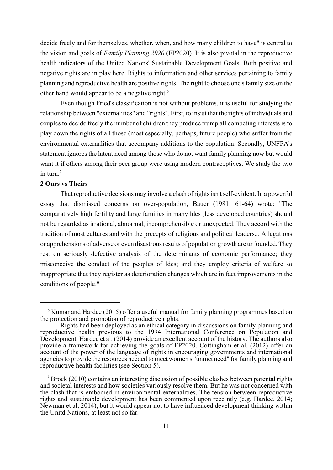decide freely and for themselves, whether, when, and how many children to have" is central to the vision and goals of *Family Planning 2020* (FP2020). It is also pivotal in the reproductive health indicators of the United Nations' Sustainable Development Goals. Both positive and negative rights are in play here. Rights to information and other services pertaining to family planning and reproductive health are positive rights. The right to choose one's family size on the other hand would appear to be a negative right.<sup>6</sup>

Even though Fried's classification is not without problems, it is useful for studying the relationship between "externalities" and "rights". First, to insist that the rights of individuals and couples to decide freely the number of children they produce trump all competing interests is to play down the rights of all those (most especially, perhaps, future people) who suffer from the environmental externalities that accompany additions to the population. Secondly, UNFPA's statement ignores the latent need among those who do not want family planning now but would want it if others among their peer group were using modern contraceptives. We study the two in turn.<sup>7</sup>

# **2 Ours vs Theirs**

That reproductive decisions may involve a clash of rights isn't self-evident. In a powerful essay that dismissed concerns on over-population, Bauer (1981: 61-64) wrote: "The comparatively high fertility and large families in many ldcs (less developed countries) should not be regarded as irrational, abnormal, incomprehensible or unexpected. They accord with the tradition of most cultures and with the precepts of religious and political leaders... Allegations or apprehensions of adverse or even disastrous results of population growth are unfounded. They rest on seriously defective analysis of the determinants of economic performance; they misconceive the conduct of the peoples of ldcs; and they employ criteria of welfare so inappropriate that they register as deterioration changes which are in fact improvements in the conditions of people."

 $6$  Kumar and Hardee (2015) offer a useful manual for family planning programmes based on the protection and promotion of reproductive rights.

Rights had been deployed as an ethical category in discussions on family planning and reproductive health previous to the 1994 International Conference on Population and Development. Hardee et al. (2014) provide an excellent account of the history. The authors also provide a framework for achieving the goals of FP2020. Cottingham et al. (2012) offer an account of the power of the language of rights in encouraging governments and international agencies to provide the resources needed to meet women's "unmet need" for family planning and reproductive health facilities (see Section 5).

 $\frac{1}{2}$  Brock (2010) contains an interesting discussion of possible clashes between parental rights and societal interests and how societies variously resolve them. But he was not concerned with the clash that is embodied in environmental externalities. The tension between reproductive rights and sustainable development has been commented upon rece ntly (e.g. Hardee, 2014; Newman et al, 2014), but it would appear not to have influenced development thinking within the Unitd Nations, at least not so far.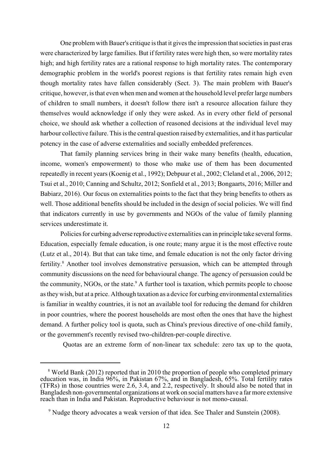One problem with Bauer's critique is that it gives the impression that societies in past eras were characterized by large families. But if fertility rates were high then, so were mortality rates high; and high fertility rates are a rational response to high mortality rates. The contemporary demographic problem in the world's poorest regions is that fertility rates remain high even though mortality rates have fallen considerably (Sect. 3). The main problem with Bauer's critique, however, is that even when men and women at the household level prefer large numbers of children to small numbers, it doesn't follow there isn't a resource allocation failure they themselves would acknowledge if only they were asked. As in every other field of personal choice, we should ask whether a collection of reasoned decisions at the individual level may harbour collective failure. This is the central question raised by externalities, and it has particular potency in the case of adverse externalities and socially embedded preferences.

That family planning services bring in their wake many benefits (health, education, income, women's empowerment) to those who make use of them has been documented repeatedly in recent years (Koenig et al., 1992); Debpuur et al., 2002; Cleland et al., 2006, 2012; Tsui et al., 2010; Canning and Schultz, 2012; Sonfield et al., 2013; Bongaarts, 2016; Miller and Babiarz, 2016). Our focus on externalities points to the fact that they bring benefits to others as well. Those additional benefits should be included in the design of social policies. We will find that indicators currently in use by governments and NGOs of the value of family planning services underestimate it.

Policies for curbing adverse reproductive externalities can in principle take several forms. Education, especially female education, is one route; many argue it is the most effective route (Lutz et al., 2014). But that can take time, and female education is not the only factor driving fertility.<sup>8</sup> Another tool involves demonstrative persuasion, which can be attempted through community discussions on the need for behavioural change. The agency of persuasion could be the community, NGOs, or the state.<sup>9</sup> A further tool is taxation, which permits people to choose as they wish, but at a price. Although taxation as a device for curbing environmental externalities is familiar in wealthy countries, it is not an available tool for reducing the demand for children in poor countries, where the poorest households are most often the ones that have the highest demand. A further policy tool is quota, such as China's previous directive of one-child family, or the government's recently revised two-children-per-couple directive.

Quotas are an extreme form of non-linear tax schedule: zero tax up to the quota,

<sup>&</sup>lt;sup>8</sup> World Bank (2012) reported that in 2010 the proportion of people who completed primary education was, in India 96%, in Pakistan 67%, and in Bangladesh, 65%. Total fertility rates (TFRs) in those countries were 2.6, 3.4, and 2.2, respectively. It should also be noted that in Bangladesh non-governmental organizations at work on social matters have a far more extensive reach than in India and Pakistan. Reproductive behaviour is not mono-causal.

<sup>&</sup>lt;sup>9</sup> Nudge theory advocates a weak version of that idea. See Thaler and Sunstein (2008).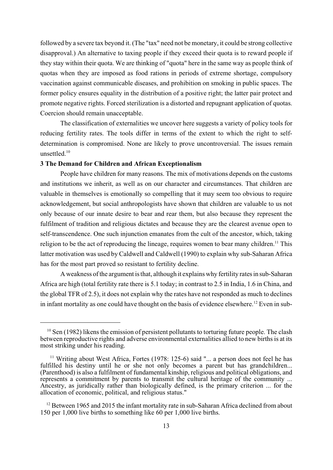followed by a severe tax beyond it. (The "tax" need not be monetary, it could be strong collective disapproval.) An alternative to taxing people if they exceed their quota is to reward people if they stay within their quota. We are thinking of "quota" here in the same way as people think of quotas when they are imposed as food rations in periods of extreme shortage, compulsory vaccination against communicable diseases, and prohibition on smoking in public spaces. The former policy ensures equality in the distribution of a positive right; the latter pair protect and promote negative rights. Forced sterilization is a distorted and repugnant application of quotas. Coercion should remain unacceptable.

The classification of externalities we uncover here suggests a variety of policy tools for reducing fertility rates. The tools differ in terms of the extent to which the right to selfdetermination is compromised. None are likely to prove uncontroversial. The issues remain unsettled.<sup>10</sup>

# **3 The Demand for Children and African Exceptionalism**

People have children for many reasons. The mix of motivations depends on the customs and institutions we inherit, as well as on our character and circumstances. That children are valuable in themselves is emotionally so compelling that it may seem too obvious to require acknowledgement, but social anthropologists have shown that children are valuable to us not only because of our innate desire to bear and rear them, but also because they represent the fulfilment of tradition and religious dictates and because they are the clearest avenue open to self-transcendence. One such injunction emanates from the cult of the ancestor, which, taking religion to be the act of reproducing the lineage, requires women to bear many children.<sup>11</sup> This latter motivation was used by Caldwell and Caldwell (1990) to explain why sub-Saharan Africa has for the most part proved so resistant to fertility decline.

A weakness of the argument is that, although it explains why fertility rates in sub-Saharan Africa are high (total fertility rate there is 5.1 today; in contrast to 2.5 in India, 1.6 in China, and the global TFR of 2.5), it does not explain why the rates have not responded as much to declines in infant mortality as one could have thought on the basis of evidence elsewhere.<sup>12</sup> Even in sub-

 $10$  Sen (1982) likens the emission of persistent pollutants to torturing future people. The clash between reproductive rights and adverse environmental externalities allied to new births is at its most striking under his reading.

<sup>&</sup>lt;sup>11</sup> Writing about West Africa, Fortes (1978: 125-6) said "... a person does not feel he has fulfilled his destiny until he or she not only becomes a parent but has grandchildren... (Parenthood) is also a fulfilment of fundamental kinship, religious and political obligations, and represents a commitment by parents to transmit the cultural heritage of the community ... Ancestry, as juridically rather than biologically defined, is the primary criterion ... for the allocation of economic, political, and religious status."

 $12$  Between 1965 and 2015 the infant mortality rate in sub-Saharan Africa declined from about 150 per 1,000 live births to something like 60 per 1,000 live births.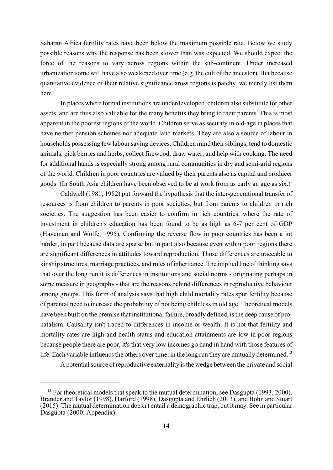Saharan Africa fertility rates have been below the maximum possible rate. Below we study possible reasons why the response has been slower than was expected. We should expect the force of the reasons to vary across regions within the sub-continent. Under increased urbanization some will have also weakened over time (e.g. the cult of the ancestor). But because quanttative evidence of their relative significance aross regions is patchy, we merely list them here.

In places where formal institutions are underdeveloped, children also substitute for other assets, and are thus also valuable for the many benefits they bring to their parents. This is most apparent in the poorest regions of the world. Children serve as security in old-age in places that have neither pension schemes nor adequate land markets. They are also a source of labour in households possessing few labour saving devices. Children mind their siblings, tend to domestic animals, pick berries and herbs, collect firewood, draw water, and help with cooking. The need for additional hands is especially strong among rural communities in dry and semi-arid regions of the world. Children in poor countries are valued by their parents also as capital and producer goods. (In South Asia children have been observed to be at work from as early an age as six.)

Caldwell (1981, 1982) put forward the hypothesis that the inter-generational transfer of resources is from children to parents in poor societies, but from parents to children in rich societies. The suggestion has been easier to confirm in rich countries, where the rate of investment in children's education has been found to be as high as 6-7 per cent of GDP (Haveman and Wolfe, 1995). Confirming the reverse flow in poor countries has been a lot harder, in part because data are sparse but in part also because even within poor regions there are significant differences in attitudes toward reproduction. Those differences are traceable to kinship structures, marriage practices, and rules of inheritance. The implied line of thinking says that over the long run it is differences in institutions and social norms - originating perhaps in some measure in geography - that are the reasons behind differences in reproductive behaviour among groups. This form of analysis says that high child mortality rates spur fertility because of parental need to increase the probability of not being childless in old age. Theoretical models have been built on the premise that institutional failure, broadly defined, is the deep cause of pronatalism. Causality isn't traced to differences in income or wealth. It is not that fertility and mortality rates are high and health status and education attainments are low in poor regions because people there are poor, it's that very low incomes go hand in hand with those features of life. Each variable influencs the others over time; in the long run they are mutually determined.<sup>13</sup>

A potential source of reproductive externality is the wedge between the private and social

 $^{13}$  For theoretical models that speak to the mutual determination, see Dasgupta (1993, 2000), Brander and Taylor (1998), Harford (1998), Dasgupta and Ehrlich (2013), and Bohn and Stuart (2015). The mutual determination doesn't entail a demographic trap, but it may. See in particular Dasgupta (2000: Appendix).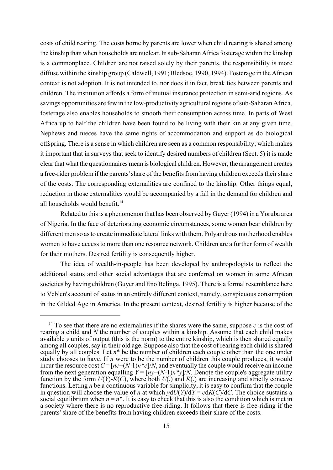costs of child rearing. The costs borne by parents are lower when child rearing is shared among the kinship than when households are nuclear. In sub-Saharan Africa fosterage within the kinship is a commonplace. Children are not raised solely by their parents, the responsibility is more diffuse within the kinship group (Caldwell, 1991; Bledsoe, 1990, 1994). Fosterage in the African context is not adoption. It is not intended to, nor does it in fact, break ties between parents and children. The institution affords a form of mutual insurance protection in semi-arid regions. As savings opportunities are few in the low-productivity agricultural regions of sub-Saharan Africa, fosterage also enables households to smooth their consumption across time. In parts of West Africa up to half the children have been found to be living with their kin at any given time. Nephews and nieces have the same rights of accommodation and support as do biological offspring. There is a sense in which children are seen as a common responsibility; which makes it important that in surveys that seek to identify desired numbers of children (Sect. 5) it is made clear that what the questionnaires mean is biological children. However, the arrangement creates a free-rider problem if the parents' share of the benefits from having children exceeds their share of the costs. The corresponding externalities are confined to the kinship. Other things equal, reduction in those externalities would be accompanied by a fall in the demand for children and all households would benefit.<sup>14</sup>

Related to this is a phenomenon that has been observed by Guyer (1994) in a Yoruba area of Nigeria. In the face of deteriorating economic circumstances, some women bear children by different men so as to create immediate lateral links with them. Polyandrous motherhood enables women to have access to more than one resource network. Children are a further form of wealth for their mothers. Desired fertility is consequently higher.

The idea of wealth-in-people has been developed by anthropologists to reflect the additional status and other social advantages that are conferred on women in some African societies by having children (Guyer and Eno Belinga, 1995). There is a formal resemblance here to Veblen's account of status in an entirely different context, namely, conspicuous consumption in the Gilded Age in America. In the present context, desired fertility is higher because of the

<sup>&</sup>lt;sup>14</sup> To see that there are no externalities if the shares were the same, suppose  $c$  is the cost of rearing a child and *N* the number of couples within a kinship. Assume that each child makes available *y* units of output (this is the norm) to the entire kinship, which is then shared equally among all couples, say in their old age. Suppose also that the cost of rearing each child is shared equally by all couples. Let  $n^*$  be the number of children each couple other than the one under study chooses to have. If *n* were to be the number of children this couple produces, it would incur the resource cost *C* = [*nc*+(*N*-1)*n\*c*]/*N*, and eventually the couple would receive an income from the next generation equalling  $Y = [ny+(N-1)n*y]/N$ . Denote the couple's aggregate utility function by the form *U*(*Y*)-*K*(*C*), where both *U*(.) and *K*(.) are increasing and strictly concave functions. Letting *n* be a continuous variable for simplicity, it is easy to confirm that the couple in question will choose the value of *n* at which *y*d*U*(*Y*)/d*Y* = *c*d*K*(*C*)/d*C*. The choice sustains a social equilibrium when  $n = n^*$ . It is easy to check that this is also the condition which is met in a society where there is no reproductive free-riding. It follows that there is free-riding if the parents' share of the benefits from having children exceeds their share of the costs.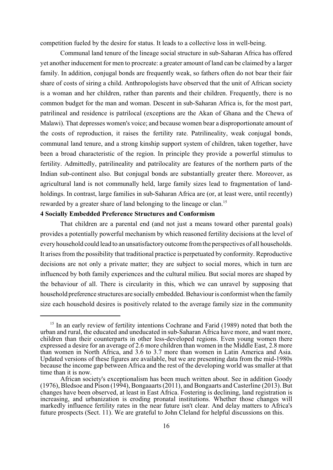competition fueled by the desire for status. It leads to a collective loss in well-being.

Communal land tenure of the lineage social structure in sub-Saharan Africa has offered yet another inducement for men to procreate: a greater amount of land can be claimed by a larger family. In addition, conjugal bonds are frequently weak, so fathers often do not bear their fair share of costs of siring a child. Anthropologists have observed that the unit of African society is a woman and her children, rather than parents and their children. Frequently, there is no common budget for the man and woman. Descent in sub-Saharan Africa is, for the most part, patrilineal and residence is patrilocal (exceptions are the Akan of Ghana and the Chewa of Malawi). That depresses women's voice; and because women bear a disproportionate amount of the costs of reproduction, it raises the fertility rate. Patrilineality, weak conjugal bonds, communal land tenure, and a strong kinship support system of children, taken together, have been a broad characteristic of the region. In principle they provide a powerful stimulus to fertility. Admittedly, patrilineality and patrilocality are features of the northern parts of the Indian sub-continent also. But conjugal bonds are substantially greater there. Moreover, as agricultural land is not communally held, large family sizes lead to fragmentation of landholdings. In contrast, large families in sub-Saharan Africa are (or, at least were, until recently) rewarded by a greater share of land belonging to the lineage or clan.<sup>15</sup>

# **4 Socially Embedded Preference Structures and Conformism**

That children are a parental end (and not just a means toward other parental goals) provides a potentially powerful mechanism by which reasoned fertility decisions at the level of every household could lead to an unsatisfactory outcome from the perspectives of all households. It arises from the possibility that traditional practice is perpetuated by conformity. Reproductive decisions are not only a private matter; they are subject to social mores, which in turn are influenced by both family experiences and the cultural milieu. But social mores are shaped by the behaviour of all. There is circularity in this, which we can unravel by supposing that household preference structures are socially embedded. Behaviour is conformist when the family size each household desires is positively related to the average family size in the community

 $15$  In an early review of fertility intentions Cochrane and Farid (1989) noted that both the urban and rural, the educated and uneducated in sub-Saharan Africa have more, and want more, children than their counterparts in other less-developed regions. Even young women there expressed a desire for an average of 2.6 more children than women in the Middle East, 2.8 more than women in North Africa, and 3.6 to 3.7 more than women in Latin America and Asia. Updated versions of these figures are available, but we are presenting data from the mid-1980s because the income gap between Africa and the rest of the developing world was smaller at that time than it is now.

African society's exceptionalism has been much written about. See in addition Goody (1976), Bledsoe and Pison (1994), Bongaaarts (2011), and Bongaarts and Casterline (2013). But changes have been observed, at least in East Africa. Fostering is declining, land registration is increasing, and urbanization is eroding pronatal institutions. Whether those changes will markedly influence fertility rates in the near future isn't clear. And delay matters to Africa's future prospects (Sect. 11). We are grateful to John Cleland for helpful discussions on this.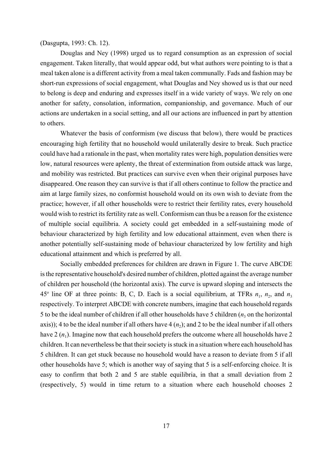## (Dasgupta, 1993: Ch. 12).

Douglas and Ney (1998) urged us to regard consumption as an expression of social engagement. Taken literally, that would appear odd, but what authors were pointing to is that a meal taken alone is a different activity from a meal taken communally. Fads and fashion may be short-run expressions of social engagement, what Douglas and Ney showed us is that our need to belong is deep and enduring and expresses itself in a wide variety of ways. We rely on one another for safety, consolation, information, companionship, and governance. Much of our actions are undertaken in a social setting, and all our actions are influenced in part by attention to others.

Whatever the basis of conformism (we discuss that below), there would be practices encouraging high fertility that no household would unilaterally desire to break. Such practice could have had a rationale in the past, when mortality rates were high, population densities were low, natural resources were aplenty, the threat of extermination from outside attack was large, and mobility was restricted. But practices can survive even when their original purposes have disappeared. One reason they can survive is that if all others continue to follow the practice and aim at large family sizes, no conformist household would on its own wish to deviate from the practice; however, if all other households were to restrict their fertility rates, every household would wish to restrict its fertility rate as well. Conformism can thus be a reason for the existence of multiple social equilibria. A society could get embedded in a self-sustaining mode of behaviour characterized by high fertility and low educational attainment, even when there is another potentially self-sustaining mode of behaviour characterized by low fertility and high educational attainment and which is preferred by all.

Socially embedded preferences for children are drawn in Figure 1. The curve ABCDE is the representative household's desired number of children, plotted against the average number of children per household (the horizontal axis). The curve is upward sloping and intersects the 45<sup>°</sup> line OF at three points: B, C, D. Each is a social equilibrium, at TFRs  $n_1$ ,  $n_2$ , and  $n_3$ respectively. To interpret ABCDE with concrete numbers, imagine that each household regards 5 to be the ideal number of children if all other households have 5 children  $(n_3$  on the horizontal axis)); 4 to be the ideal number if all others have  $4(n_2)$ ; and 2 to be the ideal number if all others have  $2(n_1)$ . Imagine now that each household prefers the outcome where all households have  $2$ children. It can nevertheless be that their society is stuck in a situation where each household has 5 children. It can get stuck because no household would have a reason to deviate from 5 if all other households have 5; which is another way of saying that 5 is a self-enforcing choice. It is easy to confirm that both 2 and 5 are stable equilibria, in that a small deviation from 2 (respectively, 5) would in time return to a situation where each household chooses 2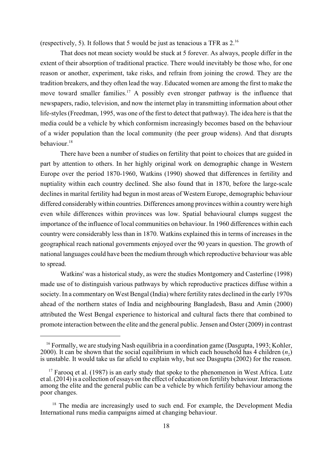(respectively, 5). It follows that 5 would be just as tenacious a TFR as 2.<sup>16</sup>

That does not mean society would be stuck at 5 forever. As always, people differ in the extent of their absorption of traditional practice. There would inevitably be those who, for one reason or another, experiment, take risks, and refrain from joining the crowd. They are the tradition breakers, and they often lead the way. Educated women are among the first to make the move toward smaller families.<sup>17</sup> A possibly even stronger pathway is the influence that newspapers, radio, television, and now the internet play in transmitting information about other life-styles (Freedman, 1995, was one of the first to detect that pathway). The idea here is that the media could be a vehicle by which conformism increasingly becomes based on the behaviour of a wider population than the local community (the peer group widens). And that disrupts behaviour.<sup>18</sup>

There have been a number of studies on fertility that point to choices that are guided in part by attention to others. In her highly original work on demographic change in Western Europe over the period 1870-1960, Watkins (1990) showed that differences in fertility and nuptiality within each country declined. She also found that in 1870, before the large-scale declines in marital fertility had begun in most areas of Western Europe, demographic behaviour differed considerably within countries. Differences among provinces within a country were high even while differences within provinces was low. Spatial behavioural clumps suggest the importance of the influence of local communities on behaviour. In 1960 differences within each country were considerably less than in 1870. Watkins explained this in terms of increases in the geographical reach national governments enjoyed over the 90 years in question. The growth of national languages could have been the mediumthrough which reproductive behaviour was able to spread.

Watkins' was a historical study, as were the studies Montgomery and Casterline (1998) made use of to distinguish various pathways by which reproductive practices diffuse within a society. In a commentary on West Bengal (India) where fertility rates declined in the early 1970s ahead of the northern states of India and neighbouring Bangladesh, Basu and Amin (2000) attributed the West Bengal experience to historical and cultural facts there that combined to promote interaction between the elite and the general public. Jensen and Oster (2009) in contrast

<sup>&</sup>lt;sup>16</sup> Formally, we are studying Nash equilibria in a coordination game (Dasgupta, 1993; Kohler, 2000). It can be shown that the social equilibrium in which each household has 4 children  $(n_2)$ is unstable. It would take us far afield to explain why, but see Dasgupta (2002) for the reason.

 $17$  Farooq et al. (1987) is an early study that spoke to the phenomenon in West Africa. Lutz et al. (2014) is a collection of essays on the effect of education on fertility behaviour. Interactions among the elite and the general public can be a vehicle by which fertility behaviour among the poor changes.

 $18$  The media are increasingly used to such end. For example, the Development Media International runs media campaigns aimed at changing behaviour.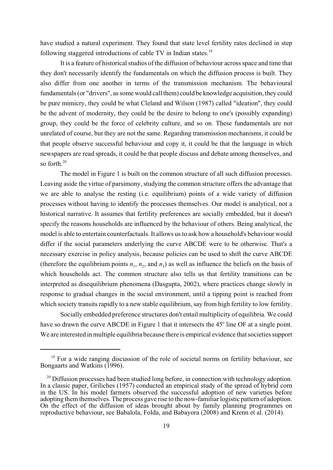have studied a natural experiment. They found that state level fertility rates declined in step following staggered introductions of cable TV in Indian states.<sup>19</sup>

It is a feature of historical studies of the diffusion of behaviour across space and time that they don't necessarily identify the fundamentals on which the diffusion process is built. They also differ from one another in terms of the transmission mechanism. The behavioural fundamentals (or "drivers", as some would call them) could be knowledge acquisition, they could be pure mimicry, they could be what Cleland and Wilson (1987) called "ideation", they could be the advent of modernity, they could be the desire to belong to one's (possibly expanding) group, they could be the force of celebrity culture, and so on. These fundamentals are not unrelated of course, but they are not the same. Regarding transmission mechanisms, it could be that people observe successful behaviour and copy it, it could be that the language in which newspapers are read spreads, it could be that people discuss and debate among themselves, and so forth  $20$ 

The model in Figure 1 is built on the common structure of all such diffusion processes. Leaving aside the virtue of parsimony, studying the common structure offers the advantage that we are able to analyse the resting (i.e. equilibrium) points of a wide variety of diffusion processes without having to identify the processes themselves. Our model is analytical, not a historical narrative. It assumes that fertility preferences are socially embedded, but it doesn't specify the reasons households are influenced by the behaviour of others. Being analytical, the model is able to entertain counterfactuals. It allows us to ask how a household's behaviour would differ if the social parameters underlying the curve ABCDE were to be otherwise. That's a necessary exercise in policy analysis, because policies can be used to shift the curve ABCDE (therefore the equilibrium points  $n_1$ ,  $n_2$ , and  $n_3$ ) as well as influence the beliefs on the basis of which households act. The common structure also tells us that fertility transitions can be interpreted as disequilibrium phenomena (Dasgupta, 2002), where practices change slowly in response to gradual changes in the social environment, until a tipping point is reached from which society transits rapidly to a new stable equilibrium, say from high fertility to low fertility.

Socially embedded preference structures don't entail multiplicity of equilibria. We could have so drawn the curve ABCDE in Figure 1 that it intersects the  $45^{\circ}$  line OF at a single point. We are interested in multiple equilibria because there is empirical evidence that societies support

 $19$  For a wide ranging discussion of the role of societal norms on fertility behaviour, see Bongaarts and Watkins (1996).

<sup>&</sup>lt;sup>20</sup> Diffusion processes had been studied long before, in connection with technology adoption. In a classic paper, Griliches (1957) conducted an empirical study of the spread of hybrid corn in the US. In his model farmers observed the successful adoption of new varieties before adopting them themselves. The process gave rise to the now-familiar logistic pattern of adoption. On the effect of the diffusion of ideas brought about by family planning programmes on reproductive behaviour, see Babalola, Folda, and Babayora (2008) and Krenn et al. (2014).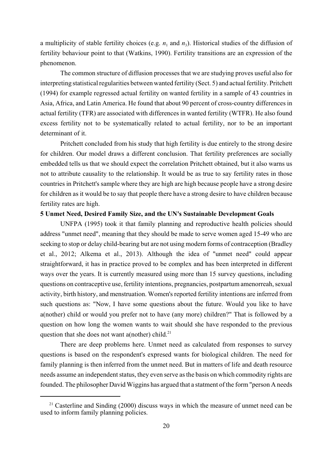a multiplicity of stable fertility choices (e.g.  $n_1$  and  $n_2$ ). Historical studies of the diffusion of fertility behaviour point to that (Watkins, 1990). Fertility transitions are an expression of the phenomenon.

The common structure of diffusion processes that we are studying proves useful also for interpreting statistical regularities between wanted fertility (Sect. 5) and actual fertility. Pritchett (1994) for example regressed actual fertility on wanted fertility in a sample of 43 countries in Asia, Africa, and Latin America. He found that about 90 percent of cross-country differences in actual fertility (TFR) are associated with differences in wanted fertility (WTFR). He also found excess fertility not to be systematically related to actual fertility, nor to be an important determinant of it.

Pritchett concluded from his study that high fertility is due entirely to the strong desire for children. Our model draws a different conclusion. That fertility preferences are socially embedded tells us that we should expect the correlation Pritchett obtained, but it also warns us not to attribute causality to the relationship. It would be as true to say fertility rates in those countries in Pritchett's sample where they are high are high because people have a strong desire for children as it would be to say that people there have a strong desire to have children because fertility rates are high.

#### **5 Unmet Need, Desired Family Size, and the UN's Sustainable Development Goals**

UNFPA (1995) took it that family planning and reproductive health policies should address "unmet need", meaning that they should be made to serve women aged 15-49 who are seeking to stop or delay child-bearing but are not using modern forms of contraception (Bradley et al., 2012; Alkema et al., 2013). Although the idea of "unmet need" could appear straightforward, it has in practice proved to be complex and has been interpreted in different ways over the years. It is currently measured using more than 15 survey questions, including questions on contraceptive use, fertility intentions, pregnancies, postpartum amenorreah, sexual activity, birth history, and menstruation. Women's reported fertility intentions are inferred from such questions as: "Now, I have some questions about the future. Would you like to have a(nother) child or would you prefer not to have (any more) children?" That is followed by a question on how long the women wants to wait should she have responded to the previous question that she does not want a(nother) child. $21$ 

There are deep problems here. Unmet need as calculated from responses to survey questions is based on the respondent's expresed wants for biological children. The need for family planning is then inferred from the unmet need. But in matters of life and death resource needs assume an independent status, they even serve as the basis on which commodity rights are founded. The philosopher David Wiggins has argued that a statment of the form "person A needs

 $21$  Casterline and Sinding (2000) discuss ways in which the measure of unmet need can be used to inform family planning policies.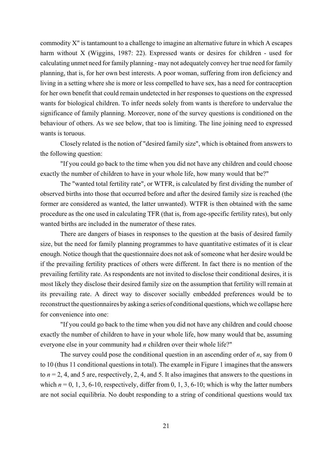commodity X" is tantamount to a challenge to imagine an alternative future in which A escapes harm without X (Wiggins, 1987: 22). Expressed wants or desires for children - used for calculating unmet need for family planning - may not adequately convey her true need for family planning, that is, for her own best interests. A poor woman, suffering from iron deficiency and living in a setting where she is more or less compelled to have sex, has a need for contraception for her own benefit that could remain undetected in her responses to questions on the expressed wants for biological children. To infer needs solely from wants is therefore to undervalue the significance of family planning. Moreover, none of the survey questions is conditioned on the behaviour of others. As we see below, that too is limiting. The line joining need to expressed wants is toruous.

Closely related is the notion of "desired family size", which is obtained from answers to the following question:

"If you could go back to the time when you did not have any children and could choose exactly the number of children to have in your whole life, how many would that be?"

The "wanted total fertility rate", or WTFR, is calculated by first dividing the number of observed births into those that occurred before and after the desired family size is reached (the former are considered as wanted, the latter unwanted). WTFR is then obtained with the same procedure as the one used in calculating TFR (that is, from age-specific fertility rates), but only wanted births are included in the numerator of these rates.

There are dangers of biases in responses to the question at the basis of desired family size, but the need for family planning programmes to have quantitative estimates of it is clear enough. Notice though that the questionnaire does not ask of someone what her desire would be if the prevailing fertility practices of others were different. In fact there is no mention of the prevailing fertility rate. As respondents are not invited to disclose their conditional desires, it is most likely they disclose their desired family size on the assumption that fertility will remain at its prevailing rate. A direct way to discover socially embedded preferences would be to reconstruct the questionnaires by asking a series of conditional questions, which we collapse here for convenience into one:

"If you could go back to the time when you did not have any children and could choose exactly the number of children to have in your whole life, how many would that be, assuming everyone else in your community had *n* children over their whole life?"

The survey could pose the conditional question in an ascending order of *n*, say from 0 to 10 (thus 11 conditional questions in total). The example in Figure 1 imagines that the answers to  $n = 2, 4$ , and 5 are, respectively, 2, 4, and 5. It also imagines that answers to the questions in which  $n = 0, 1, 3, 6-10$ , respectively, differ from 0, 1, 3, 6-10; which is why the latter numbers are not social equilibria. No doubt responding to a string of conditional questions would tax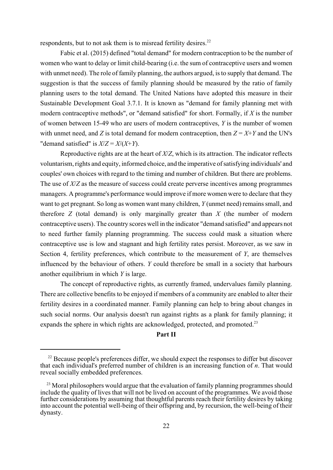respondents, but to not ask them is to misread fertility desires.<sup>22</sup>

Fabic et al. (2015) defined "total demand" for modern contraception to be the number of women who want to delay or limit child-bearing (i.e. the sum of contraceptive users and women with unmet need). The role of family planning, the authors argued, is to supply that demand. The suggestion is that the success of family planning should be measured by the ratio of family planning users to the total demand. The United Nations have adopted this measure in their Sustainable Development Goal 3.7.1. It is known as "demand for family planning met with modern contraceptive methods", or "demand satisfied" for short. Formally, if *X* is the number of women between 15-49 who are users of modern contraceptives, *Y* is the number of women with unmet need, and *Z* is total demand for modern contraception, then  $Z = X + Y$  and the UN's "demand satisfied" is  $X/Z = X/(X+Y)$ .

Reproductive rights are at the heart of *X*/*Z*, which is its attraction. The indicator reflects voluntarism, rights and equity, informed choice, and the imperative of satisfying individuals' and couples' own choices with regard to the timing and number of children. But there are problems. The use of *X*/*Z* as the measure of success could create perverse incentives among programmes managers. A programme's performance would improve if more women were to declare that they want to get pregnant. So long as women want many children, *Y* (unmet need) remains small, and therefore *Z* (total demand) is only marginally greater than *X* (the number of modern contraceptive users). The country scores well in the indicator "demand satisfied" and appears not to need further family planning programming. The success could mask a situation where contraceptive use is low and stagnant and high fertility rates persist. Moreover, as we saw in Section 4, fertility preferences, which contribute to the measurement of *Y*, are themselves influenced by the behaviour of others. *Y* could therefore be small in a society that harbours another equilibrium in which *Y* is large.

The concept of reproductive rights, as currently framed, undervalues family planning. There are collective benefits to be enjoyed if members of a community are enabled to alter their fertility desires in a coordinated manner. Family planning can help to bring about changes in such social norms. Our analysis doesn't run against rights as a plank for family planning; it expands the sphere in which rights are acknowledged, protected, and promoted.<sup>23</sup>

# **Part II**

<sup>&</sup>lt;sup>22</sup> Because people's preferences differ, we should expect the responses to differ but discover that each individual's preferred number of children is an increasing function of *n*. That would reveal socially embedded preferences.

<sup>&</sup>lt;sup>23</sup> Moral philosophers would argue that the evaluation of family planning programmes should include the quality of lives that will not be lived on account of the programmes. We avoid those further considerations by assuming that thoughtful parents reach their fertility desires by taking into account the potential well-being of their offspring and, by recursion, the well-being of their dynasty.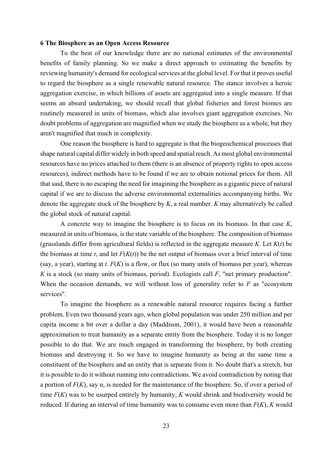#### **6 The Biosphere as an Open Access Resource**

To the best of our knowledge there are no national estimates of the environmental benefits of family planning. So we make a direct approach to estimating the benefits by reviewing humanity's demand for ecological services at the global level. For that it proves useful to regard the biosphere as a single renewable natural resource. The stance involves a heroic aggregation exercise, in which billions of assets are aggregated into a single measure. If that seems an absurd undertaking, we should recall that global fisheries and forest biomes are routinely measured in units of biomass, which also involves giant aggregation exercises. No doubt problems of aggregation are magnified when we study the biosphere as a whole, but they aren't magnified that much in complexity.

One reason the biosphere is hard to aggregate is that the biogeochemical processes that shape natural capital differ widely in both speed and spatial reach. As most global environmental resources have no prices attached to them (there is an absence of property rights to open access resources), indirect methods have to be found if we are to obtain notional prices for them. All that said, there is no escaping the need for imagining the biosphere as a gigantic piece of natural capital if we are to discuss the adverse environmental externalities accompanying births. We denote the aggregate stock of the biosphere by *K*, a real number. *K* may alternatively be called the global stock of natural capital.

A concrete way to imagine the biosphere is to focus on its biomass. In that case *K*, measured in units of biomass, is the state variable of the biosphere. The composition of biomass (grasslands differ from agricultural fields) is reflected in the aggregate measure *K*. Let *K*(*t*) be the biomass at time *t*, and let *F*(*K*(*t*)) be the net output of biomass over a brief interval of time (say, a year), starting at *t*. *F*(*K*) is a flow, or flux (so many units of biomass per year), whereas *K* is a stock (so many units of biomass, period). Ecologists call *F*, "net primary production". When the occasion demands, we will without loss of generality refer to *F* as "ecosystem" services".

To imagine the biosphere as a renewable natural resource requires facing a further problem. Even two thousand years ago, when global population was under 250 million and per capita income a bit over a dollar a day (Maddison, 2001), it would have been a reasonable approximation to treat humanity as a separate entity from the biosphere. Today it is no longer possible to do that. We are much engaged in transforming the biosphere, by both creating biomass and destroying it. So we have to imagine humanity as being at the same time a constituent of the biosphere and an entity that is separate from it. No doubt that's a stretch, but it is possible to do it without running into contradictions. We avoid contradiction by noting that a portion of  $F(K)$ , say  $\alpha$ , is needed for the maintenance of the biosphere. So, if over a period of time *F*(*K*) was to be usurped entirely by humanity, *K* would shrink and biodiversity would be reduced. If during an interval of time humanity was to consume even more than *F*(*K*), *K* would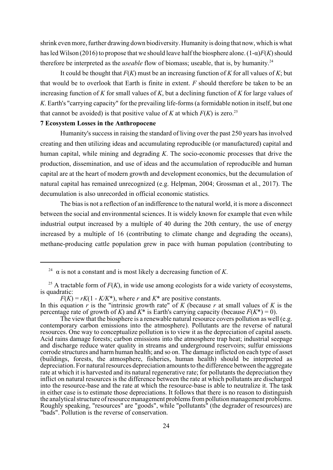shrink even more, further drawing down biodiversity. Humanity is doing that now, which is what has led Wilson (2016) to propose that we should leave half the biosphere alone.  $(1-\alpha)F(K)$  should therefore be interpreted as the *useable* flow of biomass; useable, that is, by humanity.<sup>24</sup>

It could be thought that *F*(*K*) must be an increasing function of *K* for all values of *K*; but that would be to overlook that Earth is finite in extent. *F* should therefore be taken to be an increasing function of *K* for small values of *K*, but a declining function of *K* for large values of *K*. Earth's "carrying capacity" for the prevailing life-forms (a formidable notion in itself, but one that cannot be avoided) is that positive value of *K* at which  $F(K)$  is zero.<sup>25</sup>

## **7 Ecosystem Losses in the Anthropocene**

Humanity's success in raising the standard of living over the past 250 years has involved creating and then utilizing ideas and accumulating reproducible (or manufactured) capital and human capital, while mining and degrading *K*. The socio-economic processes that drive the production, dissemination, and use of ideas and the accumulation of reproducible and human capital are at the heart of modern growth and development economics, but the decumulation of natural capital has remained unrecognized (e.g. Helpman, 2004; Grossman et al., 2017). The decumulation is also unrecorded in official economic statistics.

The bias is not a reflection of an indifference to the natural world, it is more a disconnect between the social and environmental sciences. It is widely known for example that even while industrial output increased by a multiple of 40 during the 20th century, the use of energy increased by a multiple of 16 (contributing to climate change and degrading the oceans), methane-producing cattle population grew in pace with human population (contributing to

<sup>&</sup>lt;sup>24</sup>  $\alpha$  is not a constant and is most likely a decreasing function of *K*.

<sup>&</sup>lt;sup>25</sup> A tractable form of  $F(K)$ , in wide use among ecologists for a wide variety of ecosystems, is quadratic:

 $F(K) = rK(1 - K/K^*)$ , where *r* and  $K^*$  are positive constants.

In this equation  $\vec{r}$  is the "intrinsic growth rate" of *K* (because  $\vec{r}$  at small values of *K* is the percentage rate of growth of *K*) and *K*<sup>\*</sup> is Earth's carrying capacity (because  $F(K^*) = 0$ ).

The view that the biosphere is a renewable natural resource covers pollution as well (e.g. contemporary carbon emissions into the atmosphere). Pollutants are the reverse of natural resources. One way to conceptualize pollution is to view it as the depreciation of capital assets. Acid rains damage forests; carbon emissions into the atmosphere trap heat; industrial seepage and discharge reduce water quality in streams and underground reservoirs; sulfur emissions corrode structures and harm human health; and so on. The damage inflicted on each type of asset (buildings, forests, the atmosphere, fisheries, human health) should be interpreted as depreciation. For natural resources depreciation amounts to the difference between the aggregate rate at which it is harvested and its natural regenerative rate; for pollutants the depreciation they inflict on natural resources is the difference between the rate at which pollutants are discharged into the resource-base and the rate at which the resource-base is able to neutralize it. The task in either case is to estimate those depreciations. It follows that there is no reason to distinguish the analytical structure of resource management problems from pollution management problems. Roughly speaking, "resources" are "goods", while "pollutants" (the degrader of resources) are "bads". Pollution is the reverse of conservation.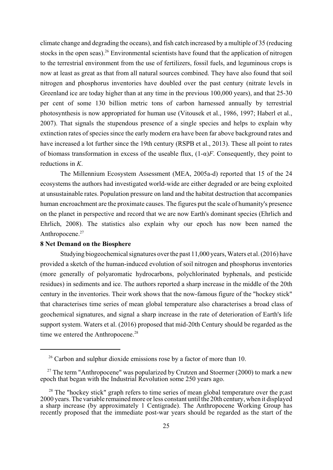climate change and degrading the oceans), and fish catch increased by a multiple of 35 (reducing stocks in the open seas). <sup>26</sup> Environmental scientists have found that the application of nitrogen to the terrestrial environment from the use of fertilizers, fossil fuels, and leguminous crops is now at least as great as that from all natural sources combined. They have also found that soil nitrogen and phosphorus inventories have doubled over the past century (nitrate levels in Greenland ice are today higher than at any time in the previous 100,000 years), and that 25-30 per cent of some 130 billion metric tons of carbon harnessed annually by terrestrial photosynthesis is now appropriated for human use (Vitousek et al., 1986, 1997; Haberl et al., 2007). That signals the stupendous presence of a single species and helps to explain why extinction rates of species since the early modern era have been far above background rates and have increased a lot further since the 19th century (RSPB et al., 2013). These all point to rates of biomass transformation in excess of the useable flux,  $(1-\alpha)F$ . Consequently, they point to reductions in *K*.

The Millennium Ecosystem Assessment (MEA, 2005a-d) reported that 15 of the 24 ecosystems the authors had investigated world-wide are either degraded or are being exploited at unsustainable rates. Population pressure on land and the habitat destruction that accompanies human encroachment are the proximate causes. The figures put the scale of humanity's presence on the planet in perspective and record that we are now Earth's dominant species (Ehrlich and Ehrlich, 2008). The statistics also explain why our epoch has now been named the Anthropocene.<sup>27</sup>

# **8 Net Demand on the Biosphere**

Studying biogeochemical signatures over the past 11,000 years, Waters et al. (2016) have provided a sketch of the human-induced evolution of soil nitrogen and phosphorus inventories (more generally of polyaromatic hydrocarbons, polychlorinated byphenals, and pesticide residues) in sediments and ice. The authors reported a sharp increase in the middle of the 20th century in the inventories. Their work shows that the now-famous figure of the "hockey stick" that characterises time series of mean global temperature also characterises a broad class of geochemical signatures, and signal a sharp increase in the rate of deterioration of Earth's life support system. Waters et al. (2016) proposed that mid-20th Century should be regarded as the time we entered the Anthropocene.<sup>28</sup>

 $26$  Carbon and sulphur dioxide emissions rose by a factor of more than 10.

<sup>&</sup>lt;sup>27</sup> The term "Anthropocene" was popularized by Crutzen and Stoermer (2000) to mark a new epoch that began with the Industrial Revolution some 250 years ago.

 $28$  The "hockey stick" graph refers to time series of mean global temperature over the p;ast 2000 years. The variable remained more or less constant until the 20th century, when it displayed a sharp increase (by approximately 1 Centigrade). The Anthropocene Working Group has recently proposed that the immediate post-war years should be regarded as the start of the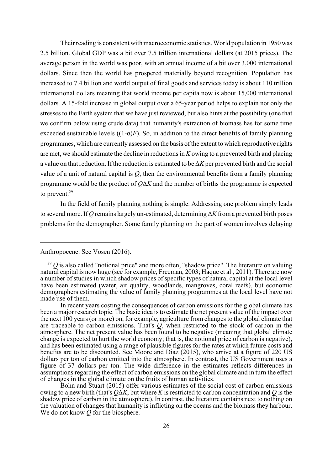Their reading is consistent with macroeconomic statistics. World population in 1950 was 2.5 billion. Global GDP was a bit over 7.5 trillion international dollars (at 2015 prices). The average person in the world was poor, with an annual income of a bit over 3,000 international dollars. Since then the world has prospered materially beyond recognition. Population has increased to 7.4 billion and world output of final goods and services today is about 110 trillion international dollars meaning that world income per capita now is about 15,000 international dollars. A 15-fold increase in global output over a 65-year period helps to explain not only the stresses to the Earth system that we have just reviewed, but also hints at the possibility (one that we confirm below using crude data) that humanity's extraction of biomass has for some time exceeded sustainable levels  $((1-\alpha)F)$ . So, in addition to the direct benefits of family planning programmes, which are currently assessed on the basis of the extent to which reproductive rights are met, we should estimate the decline in reductions in *K* owing to a prevented birth and placing a value on that reduction. If the reduction is estimated to be  $\Delta K$  per prevented birth and the social value of a unit of natural capital is *Q*, then the environmental benefits from a family planning programme would be the product of *Q*Ä*K* and the number of births the programme is expected to prevent.<sup>29</sup>

In the field of family planning nothing is simple. Addressing one problem simply leads to several more. If  $Q$  remains largely un-estimated, determining  $\Delta K$  from a prevented birth poses problems for the demographer. Some family planning on the part of women involves delaying

Bohn and Stuart (2015) offer various estimates of the social cost of carbon emissions owing to a new birth (that's  $Q\Delta K$ , but where K is restricted to carbon concentration and Q is the shadow price of carbon in the atmosphere). In contrast, the literature contains next to nothing on the valuation of changes that humanity is inflicting on the oceans and the biomass they harbour. We do not know *Q* for the biosphere.

Anthropocene. See Vosen (2016).

 $^{29}$  Q is also called "notional price" and more often, "shadow price". The literature on valuing natural capital is now huge (see for example, Freeman, 2003; Haque et al., 2011). There are now a number of studies in which shadow prices of specific types of natural capital at the local level have been estimated (water, air quality, woodlands, mangroves, coral reefs), but economic demographers estimating the value of family planning programmes at the local level have not made use of them.

In recent years costing the consequences of carbon emissions for the global climate has been a major research topic. The basic idea is to estimate the net present value of the impact over the next 100 years (or more) on, for example, agriculture from changes to the global climate that are traceable to carbon emissions. That's *Q*, when restricted to the stock of carbon in the atmosphere. The net present value has been found to be negative (meaning that global climate change is expected to hurt the world economy; that is, the notional price of carbon is negative), and has been estimated using a range of plausible figures for the rates at which future costs and benefits are to be discounted. See Moore and Diaz (2015), who arrive at a figure of 220 US dollars per ton of carbon emitted into the atmosphere. In contrast, the US Government uses a figure of 37 dollars per ton. The wide difference in the estimates reflects differences in assumptions regarding the effect of carbon emissions on the global climate and in turn the effect of changes in the global climate on the fruits of human activities.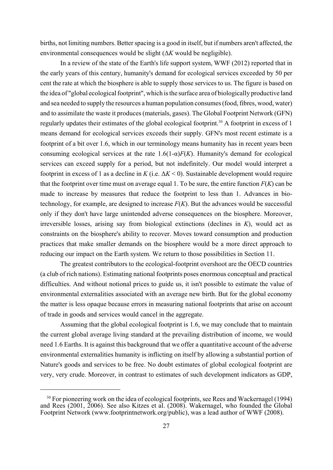births, not limiting numbers. Better spacing is a good in itself, but if numbers aren't affected, the environmental consequences would be slight  $(\Delta K)$  would be negligible).

In a review of the state of the Earth's life support system, WWF (2012) reported that in the early years of this century, humanity's demand for ecological services exceeded by 50 per cent the rate at which the biosphere is able to supply those services to us. The figure is based on the idea of "global ecological footprint", which is the surface area of biologically productive land and sea needed to supply the resources a human population consumes (food, fibres, wood, water) and to assimilate the waste it produces (materials, gases). The Global Footprint Network (GFN) regularly updates their estimates of the global ecological footprint.<sup>30</sup> A footprint in excess of 1 means demand for ecological services exceeds their supply. GFN's most recent estimate is a footprint of a bit over 1.6, which in our terminology means humanity has in recent years been consuming ecological services at the rate  $1.6(1-\alpha)F(K)$ . Humanity's demand for ecological services can exceed supply for a period, but not indefinitely. Our model would interpret a footprint in excess of 1 as a decline in  $K$  (i.e.  $\Delta K < 0$ ). Sustainable development would require that the footprint over time must on average equal 1. To be sure, the entire function  $F(K)$  can be made to increase by measures that reduce the footprint to less than 1. Advances in biotechnology, for example, are designed to increase  $F(K)$ . But the advances would be successful only if they don't have large unintended adverse consequences on the biosphere. Moreover, irreversible losses, arising say from biological extinctions (declines in *K*), would act as constraints on the biosphere's ability to recover. Moves toward consumption and production practices that make smaller demands on the biosphere would be a more direct approach to reducing our impact on the Earth system. We return to those possibilities in Section 11.

The greatest contributors to the ecological-footprint overshoot are the OECD countries (a club of rich nations). Estimating national footprints poses enormous conceptual and practical difficulties. And without notional prices to guide us, it isn't possible to estimate the value of environmental externalities associated with an average new birth. But for the global economy the matter is less opaque because errors in measuring national footprints that arise on account of trade in goods and services would cancel in the aggregate.

Assuming that the global ecological footprint is 1.6, we may conclude that to maintain the current global average living standard at the prevailing distribution of income, we would need 1.6 Earths. It is against this background that we offer a quantitative account of the adverse environmental externalities humanity is inflicting on itself by allowing a substantial portion of Nature's goods and services to be free. No doubt estimates of global ecological footprint are very, very crude. Moreover, in contrast to estimates of such development indicators as GDP,

<sup>&</sup>lt;sup>30</sup> For pioneering work on the idea of ecological footprints, see Rees and Wackernagel (1994) and Rees (2001, 2006). See also Kitzes et al. (2008). Wakernagel, who founded the Global Footprint Network (www.footprintnetwork.org/public), was a lead author of WWF (2008).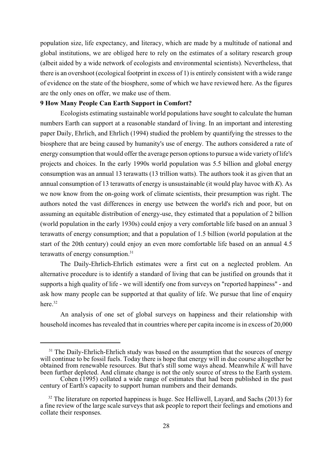population size, life expectancy, and literacy, which are made by a multitude of national and global institutions, we are obliged here to rely on the estimates of a solitary research group (albeit aided by a wide network of ecologists and environmental scientists). Nevertheless, that there is an overshoot (ecological footprint in excess of 1) is entirely consistent with a wide range of evidence on the state of the biosphere, some of which we have reviewed here. As the figures are the only ones on offer, we make use of them.

#### **9 How Many People Can Earth Support in Comfort?**

Ecologists estimating sustainable world populations have sought to calculate the human numbers Earth can support at a reasonable standard of living. In an important and interesting paper Daily, Ehrlich, and Ehrlich (1994) studied the problem by quantifying the stresses to the biosphere that are being caused by humanity's use of energy. The authors considered a rate of energy consumption that would offer the average person options to pursue a wide variety of life's projects and choices. In the early 1990s world population was 5.5 billion and global energy consumption was an annual 13 terawatts (13 trillion watts). The authors took it as given that an annual consumption of 13 terawatts of energy is unsustainable (it would play havoc with *K*). As we now know from the on-going work of climate scientists, their presumption was right. The authors noted the vast differences in energy use between the world's rich and poor, but on assuming an equitable distribution of energy-use, they estimated that a population of 2 billion (world population in the early 1930s) could enjoy a very comfortable life based on an annual 3 terawatts of energy consumption; and that a population of 1.5 billion (world population at the start of the 20th century) could enjoy an even more comfortable life based on an annual 4.5 terawatts of energy consumption.<sup>31</sup>

The Daily-Ehrlich-Ehrlich estimates were a first cut on a neglected problem. An alternative procedure is to identify a standard of living that can be justified on grounds that it supports a high quality of life - we will identify one from surveys on "reported happiness" - and ask how many people can be supported at that quality of life. We pursue that line of enquiry here.<sup>32</sup>

An analysis of one set of global surveys on happiness and their relationship with household incomes has revealed that in countries where per capita income is in excess of 20,000

 $31$  The Daily-Ehrlich-Ehrlich study was based on the assumption that the sources of energy will continue to be fossil fuels. Today there is hope that energy will in due course altogether be obtained from renewable resources. But that's still some ways ahead. Meanwhile *K* will have been further depleted. And climate change is not the only source of stress to the Earth system.

Cohen (1995) collated a wide range of estimates that had been published in the past century of Earth's capacity to support human numbers and their demands.

 $32$  The literature on reported happiness is huge. See Helliwell, Layard, and Sachs (2013) for a fine review of the large scale surveys that ask people to report their feelings and emotions and collate their responses.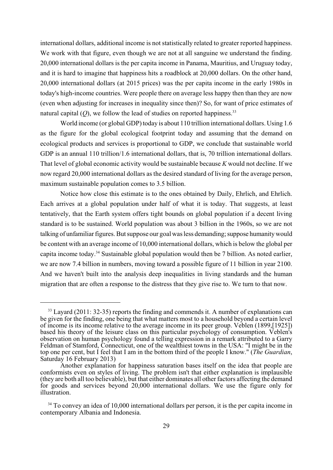international dollars, additional income is not statistically related to greater reported happiness. We work with that figure, even though we are not at all sanguine we understand the finding. 20,000 international dollars is the per capita income in Panama, Mauritius, and Uruguay today, and it is hard to imagine that happiness hits a roadblock at 20,000 dollars. On the other hand, 20,000 international dollars (at 2015 prices) was the per capita income in the early 1980s in today's high-income countries. Were people there on average less happy then than they are now (even when adjusting for increases in inequality since then)? So, for want of price estimates of natural capital  $(Q)$ , we follow the lead of studies on reported happiness.<sup>33</sup>

World income (or global GDP) today is about 110 trillion international dollars. Using 1.6 as the figure for the global ecological footprint today and assuming that the demand on ecological products and services is proportional to GDP, we conclude that sustainable world GDP is an annual 110 trillion/1.6 international dollars, that is, 70 trillion international dollars. That level of global economic activity would be sustainable because *K* would not decline. If we now regard 20,000 international dollars as the desired standard of living for the average person, maximum sustainable population comes to 3.5 billion.

Notice how close this estimate is to the ones obtained by Daily, Ehrlich, and Ehrlich. Each arrives at a global population under half of what it is today. That suggests, at least tentatively, that the Earth system offers tight bounds on global population if a decent living standard is to be sustained. World population was about 3 billion in the 1960s, so we are not talking of unfamiliar figures. But suppose our goal was less demanding; suppose humanity would be content with an average income of 10,000 international dollars, which is below the global per capita income today.<sup>34</sup> Sustainable global population would then be 7 billion. As noted earlier, we are now 7.4 billion in numbers, moving toward a possible figure of 11 billion in year 2100. And we haven't built into the analysis deep inequalities in living standards and the human migration that are often a response to the distress that they give rise to. We turn to that now.

<sup>&</sup>lt;sup>33</sup> Layard (2011: 32-35) reports the finding and commends it. A number of explanations can be given for the finding, one being that what matters most to a household beyond a certain level of income is its income relative to the average income in its peer group. Veblen (1899,[1925]) based his theory of the leisure class on this particular psychology of consumption. Veblen's observation on human psychology found a telling expression in a remark attributed to a Garry Feldman of Stamford, Connecticut, one of the wealthiest towns in the USA: "I might be in the top one per cent, but I feel that I am in the bottom third of the people I know." (*The Guardian*, Saturday 16 February 2013)

Another explanation for happiness saturation bases itself on the idea that people are conformists even on styles of living. The problem isn't that either explanation is implausible (they are both all too believable), but that either dominates all other factors affecting the demand for goods and services beyond 20,000 international dollars. We use the figure only for illustration.

<sup>&</sup>lt;sup>34</sup> To convey an idea of 10,000 international dollars per person, it is the per capita income in contemporary Albania and Indonesia.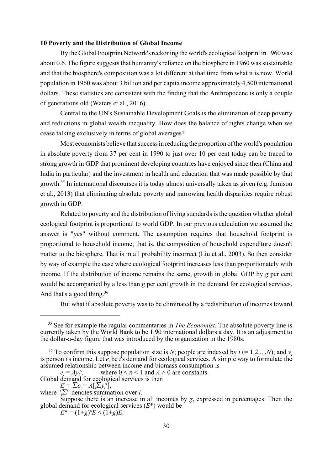## **10 Poverty and the Distribution of Global Income**

By the Global Footprint Network's reckoning the world's ecological footprint in 1960 was about 0.6. The figure suggests that humanity's reliance on the biosphere in 1960 was sustainable and that the biosphere's composition was a lot different at that time from what it is now. World population in 1960 was about 3 billion and per capita income approximately 4,500 international dollars. These statistics are consistent with the finding that the Anthropocene is only a couple of generations old (Waters et al., 2016).

Central to the UN's Sustainable Development Goals is the elimination of deep poverty and reductions in global wealth inequality. How does the balance of rights change when we cease talking exclusively in terms of global averages?

Most economists believe that success in reducing the proportion of the world's population in absolute poverty from 37 per cent in 1990 to just over 10 per cent today can be traced to strong growth in GDP that prominent developing countries have enjoyed since then (China and India in particular) and the investment in health and education that was made possible by that growth.<sup>35</sup> In international discourses it is today almost universally taken as given (e.g. Jamison et al., 2013) that eliminating absolute poverty and narrowing health disparities require robust growth in GDP.

Related to poverty and the distribution of living standards is the question whether global ecological footprint is proportional to world GDP. In our previous calculation we assumed the answer is "yes" without comment. The assumption requires that household footprint is proportional to household income; that is, the composition of household expenditure doesn't matter to the biosphere. That is in all probability incorrect (Liu et al., 2003). So then consider by way of example the case where ecological footprint increases less than proportionately with income. If the distribution of income remains the same, growth in global GDP by *g* per cent would be accompanied by a less than *g* per cent growth in the demand for ecological services. And that's a good thing.<sup>36</sup>

But what if absolute poverty was to be eliminated by a redistribution of incomes toward

<sup>&</sup>lt;sup>35</sup> See for example the regular commentaries in *The Economist*. The absolute poverty line is currently taken by the World Bank to be 1.90 international dollars a day. It is an adjustment to the dollar-a-day figure that was introduced by the organization in the 1980s.

<sup>&</sup>lt;sup>36</sup> To confirm this suppose population size is *N*; people are indexed by  $i$  (= 1,2,...,*N*); and *y*<sub>*i*</sub> is person *i*'s income. Let *e*<sub>*i*</sub> be *i*'s demand for ecological services. A simple way to formulate the assumed relationship between income and biomass consumption is  $e_i = Av_i^{\pi}$ , where  $0 \le \pi \le 1$  and  $A > 0$  are constants.

 $e_i = Ay_i^{\pi}$ , where  $0 \le \pi \le 1$  and  $A > 0$  are constants.

Global demand for ecological services is then

 $E = \sum_{i} e_i = A[\sum y_i]$ ,

where  $\sum_{i}$  denotes summation over *i*.

Suppose there is an increase in all incomes by *g*, expressed in percentages. Then the global demand for ecological services (*E*\*) would be

 $E^* = (1+g)^{\pi}E < (\bar{1}+g)E$ .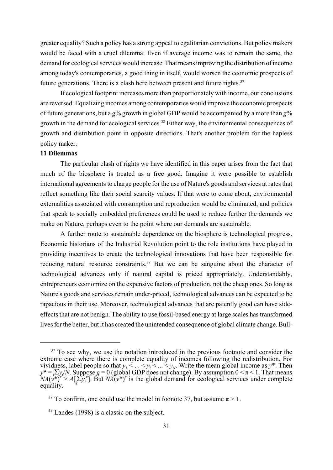greater equality? Such a policy has a strong appeal to egalitarian convictions. But policy makers would be faced with a cruel dilemma: Even if average income was to remain the same, the demand for ecological services would increase. That means improving the distribution of income among today's contemporaries, a good thing in itself, would worsen the economic prospects of future generations. There is a clash here between present and future rights. $37$ 

If ecological footprint increases more than proportionately with income, our conclusions are reversed: Equalizing incomes among contemporaries would improve the economic prospects of future generations, but a  $g\%$  growth in global GDP would be accompanied by a more than  $g\%$ growth in the demand for ecological services.<sup>38</sup> Either way, the environmental consequences of growth and distribution point in opposite directions. That's another problem for the hapless policy maker.

#### **11 Dilemmas**

The particular clash of rights we have identified in this paper arises from the fact that much of the biosphere is treated as a free good. Imagine it were possible to establish international agreements to charge people for the use of Nature's goods and services at rates that reflect something like their social scarcity values. If that were to come about, environmental externalities associated with consumption and reproduction would be eliminated, and policies that speak to socially embedded preferences could be used to reduce further the demands we make on Nature, perhaps even to the point where our demands are sustainable.

A further route to sustainable dependence on the biosphere is technological progress. Economic historians of the Industrial Revolution point to the role institutions have played in providing incentives to create the technological innovations that have been responsible for reducing natural resource constraints.<sup>39</sup> But we can be sanguine about the character of technological advances only if natural capital is priced appropriately. Understandably, entrepreneurs economize on the expensive factors of production, not the cheap ones. So long as Nature's goods and services remain under-priced, technological advances can be expected to be rapacious in their use. Moreover, technological advances that are patently good can have sideeffects that are not benign. The ability to use fossil-based energy at large scales has transformed lives for the better, but it has created the unintended consequence of global climate change. Bull-

 $37$  To see why, we use the notation introduced in the previous footnote and consider the extreme case where there is complete equality of incomes following the redistribution. For vividness, label people so that  $y_1 < ... < y_i < ... < y_N$ . Write the mean global income as  $y^*$ . Then  $y^* = i \sum y_i / N$ . Suppose  $g = 0$  (global GDP does not change). By assumption  $0 \le \pi \le 1$ . That means  $NA(y^*)^{\pi} > A[\frac{1}{2} \sum y_i^{\pi}]$ . But  $NA(y^*)^{\pi}$  is the global demand for ecological services under complete equality.

<sup>&</sup>lt;sup>38</sup> To confirm, one could use the model in foonote 37, but assume  $\pi$  > 1.

 $39$  Landes (1998) is a classic on the subject.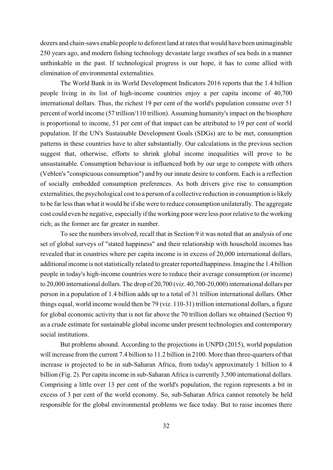dozers and chain-saws enable people to deforest land at rates that would have been unimaginable 250 years ago, and modern fishing technology devastate large swathes of sea beds in a manner unthinkable in the past. If technological progress is our hope, it has to come allied with elimination of environmental externalities.

The World Bank in its World Development Indicators 2016 reports that the 1.4 billion people living in its list of high-income countries enjoy a per capita income of 40,700 international dollars. Thus, the richest 19 per cent of the world's population consume over 51 percent of world income (57 trillion/110 trillion). Assuming humanity's impact on the biosphere is proportional to income, 51 per cent of that impact can be attributed to 19 per cent of world population. If the UN's Sustainable Development Goals (SDGs) are to be met, consumption patterns in these countries have to alter substantially. Our calculations in the previous section suggest that, otherwise, efforts to shrink global income inequalities will prove to be unsustainable. Consumption behaviour is influenced both by our urge to compete with others (Veblen's "conspicuous consumption") and by our innate desire to conform. Each is a reflection of socially embedded consumption preferences. As both drivers give rise to consumption externalities, the psychological cost to a person of a collective reduction in consumption is likely to be far less than what it would be if she were to reduce consumption unilaterally. The aggregate cost could even be negative, especially if the working poor were less poor relative to the working rich; as the former are far greater in number.

To see the numbers involved, recall that in Section 9 it was noted that an analysis of one set of global surveys of "stated happiness" and their relationship with household incomes has revealed that in countries where per capita income is in excess of 20,000 international dollars, additional income is not statistically related to greater reported happiness. Imagine the 1.4 billion people in today's high-income countries were to reduce their average consumption (or income) to 20,000 international dollars. The drop of 20,700 (viz. 40,700-20,000) international dollars per person in a population of 1.4 billion adds up to a total of 31 trillion international dollars. Other things equal, world income would then be 79 (viz. 110-31) trillion international dollars, a figure for global economic activity that is not far above the 70 trillion dollars we obtained (Section 9) as a crude estimate for sustainable global income under present technologies and contemporary social institutions.

But problems abound. According to the projections in UNPD (2015), world population will increase from the current 7.4 billion to 11.2 billion in 2100. More than three-quarters of that increase is projected to be in sub-Saharan Africa, from today's approximately 1 billion to 4 billion (Fig. 2). Per capita income in sub-Saharan Africa is currently 3,500 international dollars. Comprising a little over 13 per cent of the world's population, the region represents a bit in excess of 3 per cent of the world economy. So, sub-Saharan Africa cannot remotely be held responsible for the global environmental problems we face today. But to raise incomes there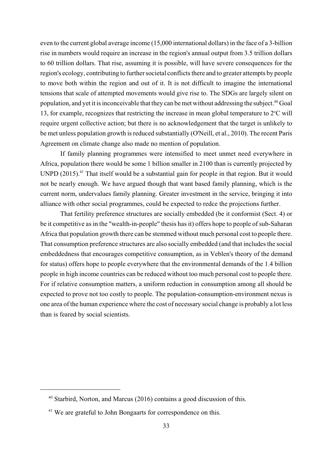even to the current global average income (15,000 international dollars) in the face of a 3-billion rise in numbers would require an increase in the region's annual output from 3.5 trillion dollars to 60 trillion dollars. That rise, assuming it is possible, will have severe consequences for the region's ecology, contributing to further societal conflicts there and to greater attempts by people to move both within the region and out of it. It is not difficult to imagine the international tensions that scale of attempted movements would give rise to. The SDGs are largely silent on population, and yet it is inconceivable that they can be met without addressing the subject.<sup>40</sup> Goal 13, for example, recognizes that restricting the increase in mean global temperature to  $2^{\circ}$ C will require urgent collective action; but there is no acknowledgement that the target is unlikely to be met unless population growth is reduced substantially (O'Neill, et al., 2010). The recent Paris Agreement on climate change also made no mention of population.

If family planning programmes were intensified to meet unmet need everywhere in Africa, population there would be some 1 billion smaller in 2100 than is currently projected by UNPD  $(2015)$ .<sup>41</sup> That itself would be a substantial gain for people in that region. But it would not be nearly enough. We have argued though that want based family planning, which is the current norm, undervalues family planning. Greater investment in the service, bringing it into alliance with other social programmes, could be expected to redce the projections further.

That fertility preference structures are socially embedded (be it conformist (Sect. 4) or be it competitive as in the "wealth-in-people" thesis has it) offers hope to people of sub-Saharan Africa that population growth there can be stemmed without much personal cost to people there. That consumption preference structures are also socially embedded (and that includes the social embeddedness that encourages competitive consumption, as in Veblen's theory of the demand for status) offers hope to people everywhere that the environmental demands of the 1.4 billion people in high income countries can be reduced without too much personal cost to people there. For if relative consumption matters, a uniform reduction in consumption among all should be expected to prove not too costly to people. The population-consumption-environment nexus is one area of the human experience where the cost of necessary social change is probably a lot less than is feared by social scientists.

 $40$  Starbird, Norton, and Marcus (2016) contains a good discussion of this.

<sup>&</sup>lt;sup>41</sup> We are grateful to John Bongaarts for correspondence on this.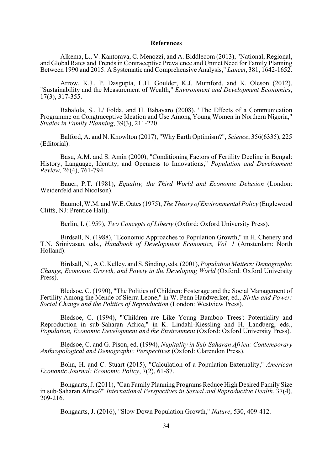#### **References**

Alkema, L., V. Kantorava, C. Menozzi, and A. Biddlecom (2013), "National, Regional, and Global Rates and Trends in Contraceptive Prevalence and Unmet Need for Family Planning Between 1990 and 2015: A Systematic and Comprehensive Analysis," *Lancet*, 381, 1642-1652.

Arrow, K.J., P. Dasgupta, L.H. Goulder, K.J. Mumford, and K. Oleson (2012), "Sustainability and the Measurement of Wealth," *Environment and Development Economics*, 17(3), 317-355.

Babalola, S., L/ Folda, and H. Babayaro (2008), "The Effects of a Communication Programme on Congtraceptive Ideation and Use Among Young Women in Northern Nigeria," *Studies in Family Planning*, 39(3), 211-220.

Balford, A. and N. Knowlton (2017), "Why Earth Optimism?", *Science*, 356(6335), 225 (Editorial).

Basu, A.M. and S. Amin (2000), "Conditioning Factors of Fertility Decline in Bengal: History, Language, Identity, and Openness to Innovations," *Population and Development Review*, 26(4), 761-794.

Bauer, P.T. (1981), *Equality, the Third World and Economic Delusion* (London: Weidenfeld and Nicolson).

Baumol, W.M. and W.E. Oates (1975), *The Theory of Environmental Policy* (Englewood Cliffs, NJ: Prentice Hall).

Berlin, I. (1959), *Two Concepts of Liberty* (Oxford: Oxford University Press).

Birdsall, N. (1988), "Economic Approaches to Population Growth," in H. Chenery and T.N. Srinivasan, eds., *Handbook of Development Economics, Vol. 1* (Amsterdam: North Holland).

Birdsall, N., A.C. Kelley, and S. Sinding, eds. (2001), *Population Matters: Demographic Change, Economic Growth, and Povety in the Developing World* (Oxford: Oxford University Press<sub>)</sub>.

Bledsoe, C. (1990), "The Politics of Children: Fosterage and the Social Management of Fertility Among the Mende of Sierra Leone," in W. Penn Handwerker, ed., *Births and Power: Social Change and the Politics of Reproduction* (London: Westview Press).

Bledsoe, C. (1994), "'Children are Like Young Bamboo Trees': Potentiality and Reproduction in sub-Saharan Africa," in K. Lindahl-Kiessling and H. Landberg, eds., *Population, Economic Development and the Environment* (Oxford: Oxford University Press).

Bledsoe, C. and G. Pison, ed. (1994), *Nupitality in Sub-Saharan Africa: Contemporary Anthropological and Demographic Perspectives* (Oxford: Clarendon Press).

Bohn, H. and C. Stuart (2015), "Calculation of a Population Externality," *American Economic Journal: Economic Policy*, 7(2), 61-87.

Bongaarts, J. (2011), "Can Family Planning Programs Reduce High Desired Family Size in sub-Saharan Africa?" *International Perspectives in Sexual and Reproductive Health*, 37(4), 209-216.

Bongaarts, J. (2016), "Slow Down Population Growth," *Nature*, 530, 409-412.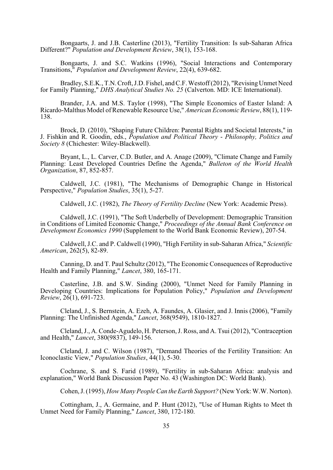Bongaarts, J. and J.B. Casterline (2013), "Fertility Transition: Is sub-Saharan Africa Different?" *Population and Development Review*, 38(1), 153-168.

Bongaarts, J. and S.C. Watkins (1996), "Social Interactions and Contemporary Transitions," *Population and Development Review*, 22(4), 639-682.

Bradley, S.E.K., T.N. Croft, J.D. Fishel, and C.F. Westoff (2012), "Revising Unmet Need for Family Planning," *DHS Analytical Studies No. 25* (Calverton. MD: ICE International).

Brander, J.A. and M.S. Taylor (1998), "The Simple Economics of Easter Island: A Ricardo-Malthus Model of Renewable Resource Use," *American Economic Review*, 88(1), 119- 138.

Brock, D. (2010), "Shaping Future Children: Parental Rights and Societal Interests," in J. Fishkin and R. Goodin, eds., *Population and Political Theory* - *Philosophy, Politics and Society 8* (Chichester: Wiley-Blackwell).

Bryant, L., L. Carver, C.D. Butler, and A. Anage (2009), "Climate Change and Family Planning: Least Developed Countries Define the Agenda," *Bulleton of the World Health Organization*, 87, 852-857.

Caldwell, J.C. (1981), "The Mechanisms of Demographic Change in Historical Perspective," *Population Studies*, 35(1), 5-27.

Caldwell, J.C. (1982), *The Theory of Fertility Decline* (New York: Academic Press).

Caldwell, J.C. (1991), "The Soft Underbelly of Development: Demographic Transition in Conditions of Limited Economic Change," *Proceedings of the Annual Bank Conference on Development Economics 1990* (Supplement to the World Bank Economic Review), 207-54.

Caldwell, J.C. and P. Caldwell (1990), "High Fertility in sub-Saharan Africa," *Scientific American*, 262(5), 82-89.

Canning, D. and T. Paul Schultz (2012), "The Economic Consequences of Reproductive Health and Family Planning," *Lancet*, 380, 165-171.

Casterline, J.B. and S.W. Sinding (2000), "Unmet Need for Family Planning in Developing Countries: Implications for Population Policy," *Population and Development Review*, 26(1), 691-723.

Cleland, J., S. Bernstein, A. Ezeh, A. Faundes, A. Glasier, and J. Innis (2006), "Family Planning: The Unfinished Agenda," *Lancet*, 368(9549), 1810-1827.

Cleland, J., A. Conde-Agudelo, H. Peterson, J. Ross, and A. Tsui (2012), "Contraception and Health," *Lancet*, 380(9837), 149-156.

Cleland, J. and C. Wilson (1987), "Demand Theories of the Fertility Transition: An Iconoclastic View," *Population Studies*, 44(1), 5-30.

Cochrane, S. and S. Farid (1989), "Fertility in sub-Saharan Africa: analysis and explanation," World Bank Discussion Paper No. 43 (Washington DC: World Bank).

Cohen, J. (1995), *How Many People Can the Earth Support?* (New York: W.W. Norton).

Cottingham, J., A. Germaine, and P. Hunt (2012), "Use of Human Rights to Meet th Unmet Need for Family Planning," *Lancet*, 380, 172-180.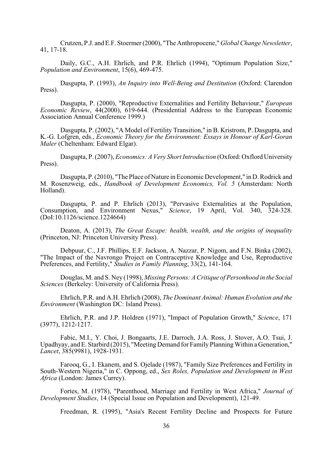Crutzen, P.J. and E.F. Stoermer (2000), "The Anthropocene," *Global Change Newsletter*, 41, 17-18.

Daily, G.C., A.H. Ehrlich, and P.R. Ehrlich (1994), "Optimum Population Size," *Population and Environment*, 15(6), 469-475.

Dasgupta, P. (1993), *An Inquiry into Well-Being and Destitution* (Oxford: Clarendon Press).

Dasgupta, P. (2000), "Reproductive Externalities and Fertility Behaviour," *European Economic Review*, 44(2000), 619-644. (Presidential Address to the European Economic Association Annual Conference 1999.)

Dasgupta, P. (2002), "A Model of Fertility Transition," in B. Kristrom, P. Dasgupta, and K.-G. Lofgren, eds., *Economic Theory for the Environment: Essays in Honour of Karl-Goran Maler* (Cheltenham: Edward Elgar).

Dasgupta, P. (2007), *Economics: A Very Short Introduction* (Oxford: Oxflord University Press).

Dasgupta, P. (2010), "The Place of Nature in Economic Development," in D. Rodrick and M. Rosenzweig, eds., *Handbook of Development Economics, Vol. 5* (Amsterdam: North Holland).

Dasgupta, P. and P. Ehrlich (2013), "Pervasive Externalities at the Population, Consumption, and Environment Nexus," *Science*, 19 April, Vol. 340, 324-328. (DoI:10.1126/science.1224664)

Deaton, A. (2013), *The Great Escape: health, wealth, and the origins of inequality* (Princeton, NJ: Princeton University Press).

Debpuur, C., J.F. Phillips, E.F. Jackson, A. Nazzar, P. Nigom, and F.N. Binka (2002), "The Impact of the Navrongo Project on Contraceptive Knowledge and Use, Reproductive Preferences, and Fertility," *Studies in Family Planning*, 33(2), 141-164.

Douglas, M. and S. Ney (1998), *Missing Persons: A Critique of Personhood in the Social Sciences* (Berkeley: University of California Press).

Ehrlich, P.R. and A.H. Ehrlich (2008), *The Dominant Animal: Human Evolution and the Environment* (Washington DC: Island Press).

Ehrlich, P.R. and J.P. Holdren (1971), "Impact of Population Growth," *Science*, 171 (3977), 1212-1217.

Fabic, M.I., Y. Choi, J. Bongaarts, J.E. Darroch, J.A. Ross, J. Stover, A.O. Tsui, J. Upadhyay, and E. Starbird (2015), "Meeting Demand for Family Planning Within a Generation," *Lancet*, 385(9981), 1928-1931.

Farooq, G., I. Ekanem, and S. Ojelade (1987), "Family Size Preferences and Fertility in South-Western Nigeria," in C. Oppong, ed., *Sex Roles, Population and Development in West Africa* (London: James Currey).

Fortes, M. (1978), "Parenthood, Marriage and Fertility in West Africa," *Journal of Development Studies*, 14 (Special Issue on Population and Development), 121-49.

Freedman, R. (1995), "Asia's Recent Fertility Decline and Prospects for Future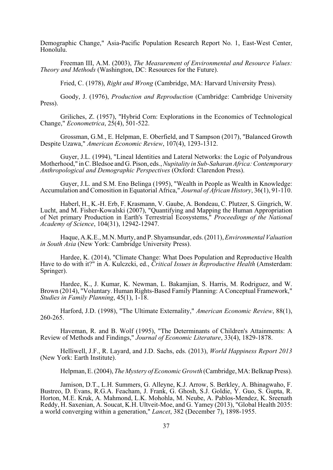Demographic Change," Asia-Pacific Population Research Report No. 1, East-West Center, Honolulu.

Freeman III, A.M. (2003), *The Measurement of Environmental and Resource Values: Theory and Methods* (Washington, DC: Resources for the Future).

Fried, C. (1978), *Right and Wrong* (Cambridge, MA: Harvard University Press).

Goody, J. (1976), *Production and Reproduction* (Cambridge: Cambridge University Press).

Griliches, Z. (1957), "Hybrid Corn: Explorations in the Economics of Technological Change," *Econometrica*, 25(4), 501-522.

Grossman, G.M., E. Helpman, E. Oberfield, and T Sampson (2017), "Balanced Growth Despite Uzawa," *American Economic Review*, 107(4), 1293-1312.

Guyer, J.L. (1994), "Lineal Identities and Lateral Networks: the Logic of Polyandrous Motherhood," in C. Bledsoe and G. Pison, eds., *Nupitality in Sub-Saharan Africa: Contemporary Anthropological and Demographic Perspectives* (Oxford: Clarendon Press).

Guyer, J.L. and S.M. Eno Belinga (1995), "Wealth in People as Wealth in Knowledge: Accumulation and Comosition in Equatorial Africa," *Journal of African History*, 36(1), 91-110.

Haberl, H., K.-H. Erb, F. Krasmann, V. Gaube, A. Bondeau, C. Plutzer, S. Gingrich, W. Lucht, and M. Fisher-Kowalski (2007), "Quantifying and Mapping the Human Appropriation of Net primary Production in Earth's Terrestrial Ecosystems," *Proceedings of the National Academy of Science*, 104(31), 12942-12947.

Haque, A.K.E., M.N. Murty, and P. Shyamsundar, eds. (2011), *Environmental Valuation in South Asia* (New York: Cambridge University Press).

Hardee, K. (2014), "Climate Change: What Does Population and Reproductive Health Have to do with it?" in A. Kulczcki, ed., *Critical Issues in Reproductive Health* (Amsterdam: Springer).

Hardee, K., J. Kumar, K. Newman, L. Bakamjian, S. Harris, M. Rodriguez, and W. Brown (2014), "Voluntary. Human Rights-Based Family Planning: A Conceptual Framework," *Studies in Family Planning*, 45(1), 1-18.

Harford, J.D. (1998), "The Ultimate Externality," *American Economic Review*, 88(1), 260-265.

Haveman, R. and B. Wolf (1995), "The Determinants of Children's Attainments: A Review of Methods and Findings," *Journal of Economic Literature*, 33(4), 1829-1878.

Helliwell, J.F., R. Layard, and J.D. Sachs, eds. (2013), *World Happiness Report 2013* (New York: Earth Institute).

Helpman, E. (2004), *The Mystery of Economic Growth* (Cambridge, MA: Belknap Press).

Jamison, D.T., L.H. Summers, G. Alleyne, K.J. Arrow, S. Berkley, A. Bhinagwaho, F. Bustreo, D. Evans, R.G.A. Feacham, J. Frank, G. Ghosh, S.J. Goldie, Y. Guo, S. Gupta, R. Horton, M.E. Kruk, A. Mahmond, L.K. Mohohla, M. Neube, A. Pablos-Mendez, K. Sreenath Reddy, H. Saxenian, A. Soucat, K.H. Ultveit-Moe, and G. Yamey (2013), "Global Health 2035: a world converging within a generation," *Lancet*, 382 (December 7), 1898-1955.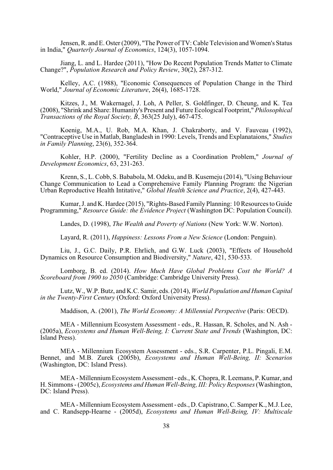Jensen, R. and E. Oster (2009), "The Power of TV: Cable Television and Women's Status in India," *Quarterly Journal of Economics*, 124(3), 1057-1094.

Jiang, L. and L. Hardee (2011), "How Do Recent Population Trends Matter to Climate Change?", *Population Research and Policy Review*, 30(2), 287-312.

Kelley, A.C. (1988), "Economic Consequences of Population Change in the Third World," *Journal of Economic Literature*, 26(4), 1685-1728.

Kitzes, J., M. Wakernagel, J. Loh, A Peller, S. Goldfinger, D. Cheung, and K. Tea (2008), "Shrink and Share: Humanity's Present and Future Ecological Footprint," *Philosophical Transactions of the Royal Society, B*, 363(25 July), 467-475.

Koenig, M.A., U. Rob, M.A. Khan, J. Chakraborty, and V. Fauveau (1992), "Contraceptive Use in Matlab, Bangladesh in 1990: Levels, Trends and Explanataions," *Studies in Family Planning*, 23(6), 352-364.

Kohler, H.P. (2000), "Fertility Decline as a Coordination Problem," *Journal of Development Economics*, 63, 231-263.

Krenn, S., L. Cobb, S. Bababola, M. Odeku, and B. Kusemeju (2014), "Using Behaviour Change Communication to Lead a Comprehensive Family Planning Program: the Nigerian Urban Reproductive Health Intitative," *Global Health Science and Practice*, 2(4), 427-443.

Kumar, J. and K. Hardee (2015), "Rights-Based Family Planning: 10 Resources to Guide Programming," *Resource Guide: the Evidence Project* (Washington DC: Population Council).

Landes, D. (1998), *The Wealth and Poverty of Nations* (New York: W.W. Norton).

Layard, R. (2011), *Happiness: Lessons From a New Science* (London: Penguin).

Liu, J., G.C. Daily, P.R. Ehrlich, and G.W. Luck (2003), "Effects of Household Dynamics on Resource Consumption and Biodiversity," *Nature*, 421, 530-533.

Lomborg, B. ed. (2014). *How Much Have Global Problems Cost the World? A Scoreboard from 1900 to 2050* (Cambridge: Cambridge University Press).

Lutz, W., W.P. Butz, and K.C. Samir, eds. (2014), *World Population and Human Capital in the Twenty-First Century* (Oxford: Oxford University Press).

Maddison, A. (2001), *The World Economy: A Millennial Perspective* (Paris: OECD).

MEA - Millennium Ecosystem Assessment - eds., R. Hassan, R. Scholes, and N. Ash - (2005a), *Ecosystems and Human Well-Being, I: Current State and Trends* (Washington, DC: Island Press).

MEA - Millennium Ecosystem Assessment - eds., S.R. Carpenter, P.L. Pingali, E.M. Bennet, and M.B. Zurek (2005b), *Ecosystems and Human Well-Being, II: Scenarios* (Washington, DC: Island Press).

MEA - Millennium Ecosystem Assessment - eds., K. Chopra, R. Leemans, P. Kumar, and H. Simmons - (2005c), *Ecosystems and Human Well-Being, III: Policy Responses* (Washington, DC: Island Press).

MEA - Millennium Ecosystem Assessment - eds., D. Capistrano, C. Samper K., M.J. Lee, and C. Randsepp-Hearne - (2005d), *Ecosystems and Human Well-Being, IV: Multiscale*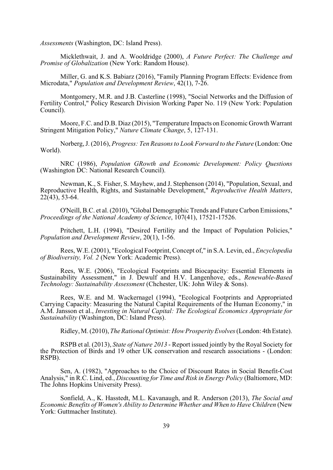*Assessments* (Washington, DC: Island Press).

Micklethwait, J. and A. Wooldridge (2000), *A Future Perfect: The Challenge and Promise of Globalization* (New York: Random House).

Miller, G. and K.S. Babiarz (2016), "Family Planning Program Effects: Evidence from Microdata," *Population and Development Review*, 42(1), 7-26.

Montgomery, M.R. and J.B. Casterline (1998), "Social Networks and the Diffusion of Fertility Control," Policy Research Division Working Paper No. 119 (New York: Population Council).

Moore, F.C. and D.B. Diaz (2015), "Temperature Impacts on Economic Growth Warrant Stringent Mitigation Policy," *Nature Climate Change*, 5, 127-131.

Norberg, J. (2016), *Progress: Ten Reasons to Look Forward to the Future* (London: One World).

NRC (1986), *Population GRowth and Economic Development: Policy Questions* (Washington DC: National Research Council).

Newman, K., S. Fisher, S. Mayhew, and J. Stephenson (2014), "Population, Sexual, and Reproductive Health, Rights, and Sustainable Development," *Reproductive Health Matters*,  $22(43)$ , 53-64.

O'Neill, B.C. et al. (2010), "Global Demographic Trends and Future Carbon Emissions," *Proceedings of the National Academy of Science*, 107(41), 17521-17526.

Pritchett, L.H. (1994), "Desired Fertility and the Impact of Population Policies," *Population and Development Review*, 20(1), 1-56.

Rees, W.E. (2001), "Ecological Footprint, Concept of," in S.A. Levin, ed., *Encyclopedia of Biodiversity, Vol. 2* (New York: Academic Press).

Rees, W.E. (2006), "Ecological Footprints and Biocapacity: Essential Elements in Sustainability Assessment," in J. Dewulf and H.V. Langenhove, eds., *Renewable-Based Technology: Sustainability Assessment* (Chchester, UK: John Wiley & Sons).

Rees, W.E. and M. Wackernagel (1994), "Ecological Footprints and Appropriated Carrying Capacity: Measuring the Natural Capital Requirements of the Human Economy," in A.M. Jansson et al., *Investing in Natural Capital: The Ecological Economics Appropriate for Sustainability* (Washington, DC: Island Press).

Ridley, M. (2010), *The Rational Optimist: How Prosperity Evolves* (London: 4th Estate).

RSPB et al. (2013), *State of Nature 2013* - Report issued jointly by the Royal Society for the Protection of Birds and 19 other UK conservation and research associations - (London: RSPB).

Sen, A. (1982), "Approaches to the Choice of Discount Rates in Social Benefit-Cost Analysis," in R.C. Lind, ed., *Discounting for Time and Risk in Energy Policy* (Baltiomore, MD: The Johns Hopkins University Press).

Sonfield, A., K. Hasstedt, M.L. Kavanaugh, and R. Anderson (2013), *The Social and Economic Benefits of Women's Ability to Determine Whether and When to Have Children* (New York: Guttmacher Institute).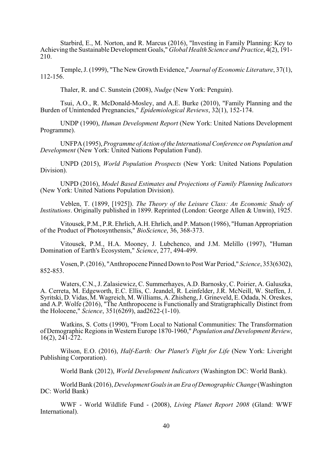Starbird, E., M. Norton, and R. Marcus (2016), "Investing in Family Planning: Key to Achieving the Sustainable Development Goals," *Global Health Science and Practice*, 4(2), 191- 210.

Temple, J. (1999), "The New Growth Evidence," *Journal of Economic Literature*, 37(1), 112-156.

Thaler, R. and C. Sunstein (2008), *Nudge* (New York: Penguin).

Tsui, A.O., R. McDonald-Mosley, and A.E. Burke (2010), "Family Planning and the Burden of Unintended Pregnancies," *Epidemiological Reviews*, 32(1), 152-174.

UNDP (1990), *Human Development Report* (New York: United Nations Development Programme).

UNFPA (1995), *Programme of Action of the International Conference on Population and Development* (New York: United Nations Population Fund).

UNPD (2015), *World Population Prospects* (New York: United Nations Population Division).

UNPD (2016), *Model Based Estimates and Projections of Family Planning Indicators* (New York: United Nations Population Division).

Veblen, T. (1899, [1925]). *The Theory of the Leisure Class: An Economic Study of Institutions*. Originally published in 1899. Reprinted (London: George Allen & Unwin), 1925.

Vitousek, P.M., P.R. Ehrlich, A.H. Ehrlich, and P. Matson (1986), "Human Appropriation of the Product of Photosynthensis," *BioScience*, 36, 368-373.

Vitousek, P.M., H.A. Mooney, J. Lubchenco, and J.M. Melillo (1997), "Human Domination of Earth's Ecosystem," *Science*, 277, 494-499.

Vosen, P. (2016), "Anthropocene Pinned Down to Post War Period," *Science*, 353(6302), 852-853.

Waters, C.N., J. Zalasiewicz, C. Summerhayes, A.D. Barnosky, C. Poirier, A. Galuszka, A. Cerreta, M. Edgeworth, E.C. Ellis, C. Jeandel, R. Leinfelder, J.R. McNeill, W. Steffen, J. Syritski, D. Vidas, M. Wagreich, M. Williams, A. Zhisheng, J. Grineveld, E. Odada, N. Oreskes, and A.P. Wolfe (2016), "The Anthropocene is Functionally and Stratigraphically Distinct from the Holocene," *Science*, 351(6269), aad2622-(1-10).

Watkins, S. Cotts (1990), "From Local to National Communities: The Transformation of Demographic Regions in Western Europe 1870-1960," *Population and Development Review*,  $16(2)$ ,  $24\overline{1}$ - $272$ .

Wilson, E.O. (2016), *Half-Earth: Our Planet's Fight for Life* (New York: Liveright Publishing Corporation).

World Bank (2012), *World Development Indicators* (Washington DC: World Bank).

World Bank (2016), *Development Goals in an Era of Demographic Change* (Washington DC: World Bank)

WWF - World Wildlife Fund - (2008), *Living Planet Report 2008* (Gland: WWF International).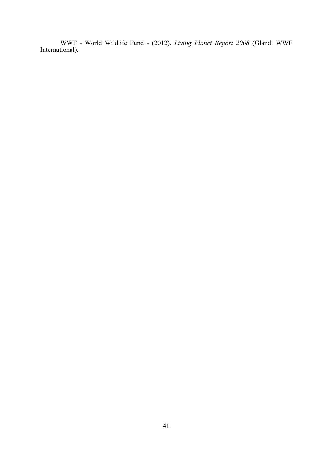WWF - World Wildlife Fund - (2012), *Living Planet Report 2008* (Gland: WWF International).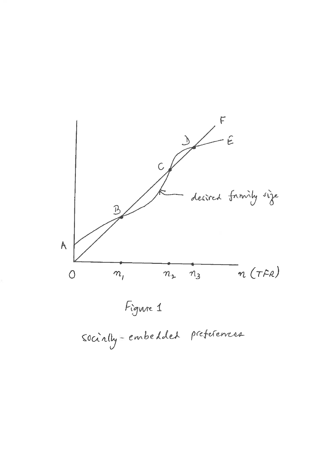